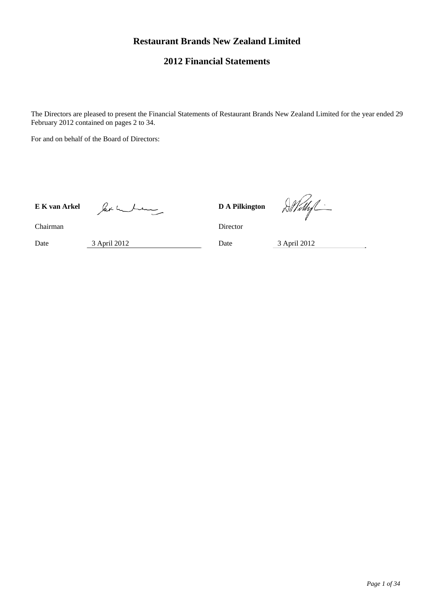# **Restaurant Brands New Zealand Limited**

# **2012 Financial Statements**

The Directors are pleased to present the Financial Statements of Restaurant Brands New Zealand Limited for the year ended 29 February 2012 contained on pages 2 to 34.

For and on behalf of the Board of Directors:

E K van Arkel *DA Pilkington* **DA Pilkington** 

D.Withf

Chairman Director

Date 3 April 2012 Date 3 April 2012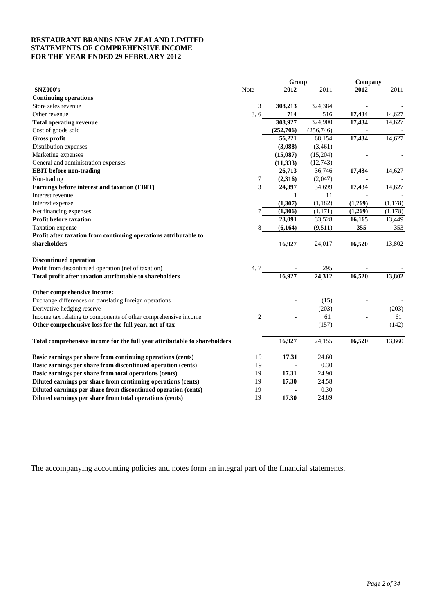## **RESTAURANT BRANDS NEW ZEALAND LIMITED STATEMENTS OF COMPREHENSIVE INCOME FOR THE YEAR ENDED 29 FEBRUARY 2012**

|                                                                           |      | Group        |                      | Company |         |
|---------------------------------------------------------------------------|------|--------------|----------------------|---------|---------|
| \$NZ000's                                                                 | Note | 2012         | 2011                 | 2012    | 2011    |
| <b>Continuing operations</b>                                              |      |              |                      |         |         |
| Store sales revenue                                                       | 3    | 308,213      | 324,384              |         |         |
| Other revenue                                                             | 3, 6 | 714          | 516                  | 17,434  | 14,627  |
| <b>Total operating revenue</b>                                            |      | 308,927      | $\overline{324,900}$ | 17,434  | 14,627  |
| Cost of goods sold                                                        |      | (252,706)    | (256,746)            |         |         |
| <b>Gross profit</b>                                                       |      | 56,221       | 68,154               | 17,434  | 14,627  |
| Distribution expenses                                                     |      | (3,088)      | (3,461)              |         |         |
| Marketing expenses                                                        |      | (15,087)     | (15,204)             |         |         |
| General and administration expenses                                       |      | (11, 333)    | (12,743)             |         |         |
| <b>EBIT</b> before non-trading                                            |      | 26,713       | 36,746               | 17, 434 | 14,627  |
| Non-trading                                                               | 7    | (2,316)      | (2,047)              |         |         |
| Earnings before interest and taxation (EBIT)                              | 3    | 24,397       | 34,699               | 17,434  | 14,627  |
| Interest revenue                                                          |      | $\mathbf{1}$ | 11                   |         |         |
| Interest expense                                                          |      | (1, 307)     | (1,182)              | (1,269) | (1,178) |
| Net financing expenses                                                    | 7    | (1,306)      | (1, 171)             | (1,269) | (1,178) |
| Profit before taxation                                                    |      | 23,091       | 33,528               | 16,165  | 13,449  |
| Taxation expense                                                          | 8    | (6,164)      | (9,511)              | 355     | 353     |
| Profit after taxation from continuing operations attributable to          |      |              |                      |         |         |
| shareholders                                                              |      | 16,927       | 24,017               | 16,520  | 13,802  |
| <b>Discontinued operation</b>                                             |      |              |                      |         |         |
| Profit from discontinued operation (net of taxation)                      | 4, 7 |              | 295                  |         |         |
| Total profit after taxation attributable to shareholders                  |      | 16,927       | 24,312               | 16,520  | 13,802  |
| Other comprehensive income:                                               |      |              |                      |         |         |
| Exchange differences on translating foreign operations                    |      |              | (15)                 |         |         |
| Derivative hedging reserve                                                |      |              | (203)                |         | (203)   |
| Income tax relating to components of other comprehensive income           | 2    |              | 61                   | ٠       | 61      |
| Other comprehensive loss for the full year, net of tax                    |      |              | (157)                |         | (142)   |
| Total comprehensive income for the full year attributable to shareholders |      | 16,927       | 24,155               | 16,520  | 13,660  |
| Basic earnings per share from continuing operations (cents)               | 19   | 17.31        | 24.60                |         |         |
| Basic earnings per share from discontinued operation (cents)              | 19   |              | 0.30                 |         |         |
| Basic earnings per share from total operations (cents)                    | 19   | 17.31        | 24.90                |         |         |
| Diluted earnings per share from continuing operations (cents)             | 19   | 17.30        | 24.58                |         |         |
| Diluted earnings per share from discontinued operation (cents)            | 19   |              | 0.30                 |         |         |
| Diluted earnings per share from total operations (cents)                  | 19   | 17.30        | 24.89                |         |         |
|                                                                           |      |              |                      |         |         |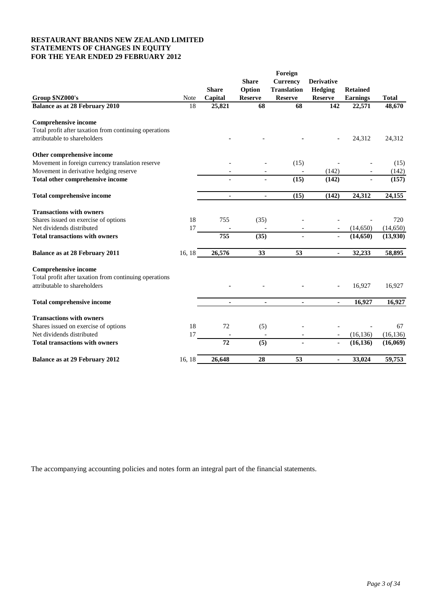## **RESTAURANT BRANDS NEW ZEALAND LIMITED STATEMENTS OF CHANGES IN EQUITY FOR THE YEAR ENDED 29 FEBRUARY 2012**

| Group \$NZ000's                                                                       | Note   | <b>Share</b><br>Capital | <b>Share</b><br>Option<br><b>Reserve</b> | Foreign<br><b>Currency</b><br><b>Translation</b><br><b>Reserve</b> | <b>Derivative</b><br>Hedging<br><b>Reserve</b> | <b>Retained</b><br><b>Earnings</b> | <b>Total</b> |
|---------------------------------------------------------------------------------------|--------|-------------------------|------------------------------------------|--------------------------------------------------------------------|------------------------------------------------|------------------------------------|--------------|
| <b>Balance as at 28 February 2010</b>                                                 | 18     | 25,821                  | 68                                       | 68                                                                 | 142                                            | 22,571                             | 48,670       |
|                                                                                       |        |                         |                                          |                                                                    |                                                |                                    |              |
| <b>Comprehensive income</b><br>Total profit after taxation from continuing operations |        |                         |                                          |                                                                    |                                                |                                    |              |
| attributable to shareholders                                                          |        |                         |                                          |                                                                    |                                                | 24,312                             |              |
|                                                                                       |        |                         |                                          |                                                                    |                                                |                                    | 24,312       |
| Other comprehensive income                                                            |        |                         |                                          |                                                                    |                                                |                                    |              |
| Movement in foreign currency translation reserve                                      |        |                         |                                          | (15)                                                               |                                                |                                    | (15)         |
| Movement in derivative hedging reserve                                                |        |                         |                                          | $\overline{\phantom{a}}$                                           | (142)                                          |                                    | (142)        |
| Total other comprehensive income                                                      |        |                         |                                          | (15)                                                               | (142)                                          |                                    | (157)        |
| <b>Total comprehensive income</b>                                                     |        | $\sim$                  | $\overline{a}$                           | (15)                                                               | (142)                                          | 24,312                             | 24,155       |
| <b>Transactions with owners</b>                                                       |        |                         |                                          |                                                                    |                                                |                                    |              |
| Shares issued on exercise of options                                                  | 18     | 755                     | (35)                                     |                                                                    |                                                |                                    | 720          |
| Net dividends distributed                                                             | 17     |                         |                                          |                                                                    |                                                | (14,650)                           | (14,650)     |
| <b>Total transactions with owners</b>                                                 |        | 755                     | (35)                                     |                                                                    |                                                | (14, 650)                          | (13,930)     |
| Balance as at 28 February 2011                                                        | 16, 18 | 26,576                  | 33                                       | 53                                                                 | ٠                                              | 32,233                             | 58,895       |
| <b>Comprehensive income</b>                                                           |        |                         |                                          |                                                                    |                                                |                                    |              |
| Total profit after taxation from continuing operations                                |        |                         |                                          |                                                                    |                                                |                                    |              |
| attributable to shareholders                                                          |        |                         |                                          |                                                                    |                                                | 16,927                             | 16,927       |
| <b>Total comprehensive income</b>                                                     |        | $\blacksquare$          | ٠                                        | $\blacksquare$                                                     | $\blacksquare$                                 | 16,927                             | 16,927       |
| <b>Transactions with owners</b>                                                       |        |                         |                                          |                                                                    |                                                |                                    |              |
| Shares issued on exercise of options                                                  | 18     | 72                      | (5)                                      |                                                                    |                                                |                                    | 67           |
| Net dividends distributed                                                             | 17     |                         |                                          |                                                                    |                                                | (16, 136)                          | (16, 136)    |
| <b>Total transactions with owners</b>                                                 |        | 72                      | (5)                                      |                                                                    | ä,                                             | (16, 136)                          | (16,069)     |
|                                                                                       |        |                         |                                          |                                                                    |                                                |                                    |              |
| <b>Balance as at 29 February 2012</b>                                                 | 16, 18 | 26,648                  | 28                                       | 53                                                                 |                                                | 33,024                             | 59,753       |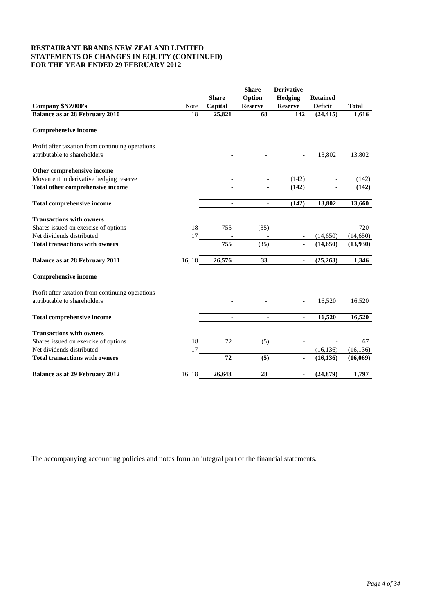## **RESTAURANT BRANDS NEW ZEALAND LIMITED STATEMENTS OF CHANGES IN EQUITY (CONTINUED) FOR THE YEAR ENDED 29 FEBRUARY 2012**

|                                                                                  | Note   | <b>Share</b><br>Capital | <b>Share</b><br>Option<br><b>Reserve</b> | <b>Derivative</b><br>Hedging<br><b>Reserve</b> | <b>Retained</b><br><b>Deficit</b> | <b>Total</b> |
|----------------------------------------------------------------------------------|--------|-------------------------|------------------------------------------|------------------------------------------------|-----------------------------------|--------------|
| Company \$NZ000's<br><b>Balance as at 28 February 2010</b>                       | 18     | 25,821                  | 68                                       | 142                                            | (24, 415)                         | 1,616        |
| <b>Comprehensive income</b>                                                      |        |                         |                                          |                                                |                                   |              |
| Profit after taxation from continuing operations<br>attributable to shareholders |        |                         |                                          |                                                | 13,802                            | 13,802       |
| Other comprehensive income                                                       |        |                         |                                          |                                                |                                   |              |
| Movement in derivative hedging reserve                                           |        |                         |                                          | (142)                                          |                                   | (142)        |
| Total other comprehensive income                                                 |        |                         |                                          | (142)                                          |                                   | (142)        |
| <b>Total comprehensive income</b>                                                |        |                         | ٠                                        | (142)                                          | 13,802                            | 13,660       |
| <b>Transactions with owners</b>                                                  |        |                         |                                          |                                                |                                   |              |
| Shares issued on exercise of options                                             | 18     | 755                     | (35)                                     |                                                |                                   | 720          |
| Net dividends distributed                                                        | 17     |                         |                                          |                                                | (14,650)                          | (14, 650)    |
| <b>Total transactions with owners</b>                                            |        | 755                     | (35)                                     |                                                | (14,650)                          | (13,930)     |
| <b>Balance as at 28 February 2011</b>                                            | 16, 18 | 26,576                  | 33                                       | ٠                                              | (25, 263)                         | 1,346        |
| <b>Comprehensive income</b>                                                      |        |                         |                                          |                                                |                                   |              |
| Profit after taxation from continuing operations<br>attributable to shareholders |        |                         |                                          |                                                | 16,520                            | 16,520       |
| <b>Total comprehensive income</b>                                                |        |                         |                                          |                                                | 16,520                            | 16,520       |
| <b>Transactions with owners</b>                                                  |        |                         |                                          |                                                |                                   |              |
| Shares issued on exercise of options                                             | 18     | 72                      | (5)                                      |                                                |                                   | 67           |
| Net dividends distributed                                                        | 17     |                         |                                          |                                                | (16, 136)                         | (16, 136)    |
| <b>Total transactions with owners</b>                                            |        | 72                      | (5)                                      |                                                | (16, 136)                         | (16,069)     |
| <b>Balance as at 29 February 2012</b>                                            | 16, 18 | 26,648                  | 28                                       | $\blacksquare$                                 | (24, 879)                         | 1,797        |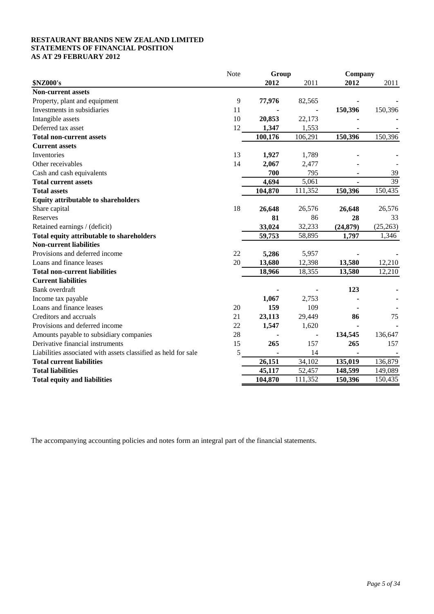## **RESTAURANT BRANDS NEW ZEALAND LIMITED STATEMENTS OF FINANCIAL POSITION AS AT 29 FEBRUARY 2012**

|                                                                | Note | Group   |         | Company   |                 |  |
|----------------------------------------------------------------|------|---------|---------|-----------|-----------------|--|
| <b>\$NZ000's</b>                                               |      | 2012    | 2011    | 2012      | 2011            |  |
| <b>Non-current assets</b>                                      |      |         |         |           |                 |  |
| Property, plant and equipment                                  | 9    | 77,976  | 82,565  |           |                 |  |
| Investments in subsidiaries                                    | 11   |         |         | 150,396   | 150,396         |  |
| Intangible assets                                              | 10   | 20,853  | 22,173  |           |                 |  |
| Deferred tax asset                                             | 12   | 1,347   | 1,553   |           |                 |  |
| <b>Total non-current assets</b>                                |      | 100,176 | 106,291 | 150,396   | 150,396         |  |
| <b>Current assets</b>                                          |      |         |         |           |                 |  |
| Inventories                                                    | 13   | 1,927   | 1,789   |           |                 |  |
| Other receivables                                              | 14   | 2,067   | 2,477   |           |                 |  |
| Cash and cash equivalents                                      |      | 700     | 795     |           | 39              |  |
| <b>Total current assets</b>                                    |      | 4,694   | 5,061   |           | $\overline{39}$ |  |
| <b>Total assets</b>                                            |      | 104,870 | 111,352 | 150,396   | 150,435         |  |
| <b>Equity attributable to shareholders</b>                     |      |         |         |           |                 |  |
| Share capital                                                  | 18   | 26,648  | 26,576  | 26,648    | 26,576          |  |
| Reserves                                                       |      | 81      | 86      | 28        | 33              |  |
| Retained earnings / (deficit)                                  |      | 33,024  | 32,233  | (24, 879) | (25, 263)       |  |
| Total equity attributable to shareholders                      |      | 59,753  | 58,895  | 1,797     | 1,346           |  |
| <b>Non-current liabilities</b>                                 |      |         |         |           |                 |  |
| Provisions and deferred income                                 | 22   | 5,286   | 5,957   |           |                 |  |
| Loans and finance leases                                       | 20   | 13,680  | 12,398  | 13,580    | 12,210          |  |
| <b>Total non-current liabilities</b>                           |      | 18,966  | 18,355  | 13,580    | 12,210          |  |
| <b>Current liabilities</b>                                     |      |         |         |           |                 |  |
| Bank overdraft                                                 |      |         |         | 123       |                 |  |
| Income tax payable                                             |      | 1,067   | 2,753   |           |                 |  |
| Loans and finance leases                                       | 20   | 159     | 109     |           |                 |  |
| Creditors and accruals                                         | 21   | 23,113  | 29,449  | 86        | 75              |  |
| Provisions and deferred income                                 | 22   | 1,547   | 1,620   |           |                 |  |
| Amounts payable to subsidiary companies                        | 28   |         |         | 134,545   | 136,647         |  |
| Derivative financial instruments                               | 15   | 265     | 157     | 265       | 157             |  |
| Liabilities associated with assets classified as held for sale | 5    |         | 14      |           |                 |  |
| <b>Total current liabilities</b>                               |      | 26,151  | 34,102  | 135,019   | 136,879         |  |
| <b>Total liabilities</b>                                       |      | 45,117  | 52,457  | 148,599   | 149,089         |  |
| <b>Total equity and liabilities</b>                            |      | 104,870 | 111,352 | 150,396   | 150,435         |  |
|                                                                |      |         |         |           |                 |  |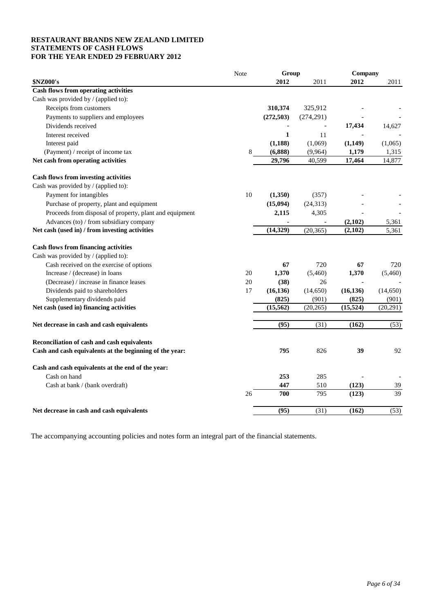## **RESTAURANT BRANDS NEW ZEALAND LIMITED STATEMENTS OF CASH FLOWS FOR THE YEAR ENDED 29 FEBRUARY 2012**

|                                                         | Note | Group        |            | Company   |          |
|---------------------------------------------------------|------|--------------|------------|-----------|----------|
| \$NZ000's                                               |      | 2012         | 2011       | 2012      | 2011     |
| Cash flows from operating activities                    |      |              |            |           |          |
| Cash was provided by / (applied to):                    |      |              |            |           |          |
| Receipts from customers                                 |      | 310,374      | 325,912    |           |          |
| Payments to suppliers and employees                     |      | (272, 503)   | (274, 291) |           |          |
| Dividends received                                      |      |              |            | 17,434    | 14,627   |
| Interest received                                       |      | $\mathbf{1}$ | 11         |           |          |
| Interest paid                                           |      | (1, 188)     | (1,069)    | (1,149)   | (1,065)  |
| (Payment) / receipt of income tax                       | 8    | (6,888)      | (9,964)    | 1,179     | 1,315    |
| Net cash from operating activities                      |      | 29,796       | 40,599     | 17,464    | 14,877   |
| <b>Cash flows from investing activities</b>             |      |              |            |           |          |
| Cash was provided by / (applied to):                    |      |              |            |           |          |
| Payment for intangibles                                 | 10   | (1,350)      | (357)      |           |          |
| Purchase of property, plant and equipment               |      | (15,094)     | (24, 313)  |           |          |
| Proceeds from disposal of property, plant and equipment |      | 2,115        | 4,305      |           |          |
| Advances (to) / from subsidiary company                 |      |              |            | (2,102)   | 5,361    |
| Net cash (used in) / from investing activities          |      | (14, 329)    | (20, 365)  | (2,102)   | 5,361    |
| <b>Cash flows from financing activities</b>             |      |              |            |           |          |
| Cash was provided by / (applied to):                    |      |              |            |           |          |
| Cash received on the exercise of options                |      | 67           | 720        | 67        | 720      |
| Increase / (decrease) in loans                          | 20   | 1,370        | (5,460)    | 1,370     | (5,460)  |
| (Decrease) / increase in finance leases                 | 20   | (38)         | 26         |           |          |
| Dividends paid to shareholders                          | 17   | (16, 136)    | (14, 650)  | (16, 136) | (14,650) |
| Supplementary dividends paid                            |      | (825)        | (901)      | (825)     | (901)    |
| Net cash (used in) financing activities                 |      | (15, 562)    | (20, 265)  | (15, 524) | (20,291) |
| Net decrease in cash and cash equivalents               |      | (95)         | (31)       | (162)     | (53)     |
|                                                         |      |              |            |           |          |
| Reconciliation of cash and cash equivalents             |      |              |            |           |          |
| Cash and cash equivalents at the beginning of the year: |      | 795          | 826        | 39        | 92       |
| Cash and cash equivalents at the end of the year:       |      |              |            |           |          |
| Cash on hand                                            |      | 253          | 285        |           |          |
| Cash at bank / (bank overdraft)                         |      | 447          | 510        | (123)     | 39       |
|                                                         | 26   | 700          | 795        | (123)     | 39       |
| Net decrease in cash and cash equivalents               |      | (95)         | (31)       | (162)     | (53)     |
|                                                         |      |              |            |           |          |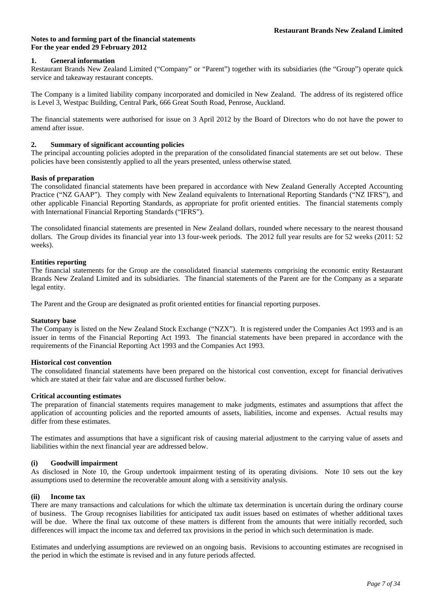## **1. General information**

Restaurant Brands New Zealand Limited ("Company" or "Parent") together with its subsidiaries (the "Group") operate quick service and takeaway restaurant concepts.

The Company is a limited liability company incorporated and domiciled in New Zealand. The address of its registered office is Level 3, Westpac Building, Central Park, 666 Great South Road, Penrose, Auckland.

The financial statements were authorised for issue on 3 April 2012 by the Board of Directors who do not have the power to amend after issue.

## **2. Summary of significant accounting policies**

The principal accounting policies adopted in the preparation of the consolidated financial statements are set out below. These policies have been consistently applied to all the years presented, unless otherwise stated.

## **Basis of preparation**

The consolidated financial statements have been prepared in accordance with New Zealand Generally Accepted Accounting Practice ("NZ GAAP"). They comply with New Zealand equivalents to International Reporting Standards ("NZ IFRS"), and other applicable Financial Reporting Standards, as appropriate for profit oriented entities. The financial statements comply with International Financial Reporting Standards ("IFRS").

The consolidated financial statements are presented in New Zealand dollars, rounded where necessary to the nearest thousand dollars. The Group divides its financial year into 13 four-week periods. The 2012 full year results are for 52 weeks (2011: 52 weeks).

## **Entities reporting**

The financial statements for the Group are the consolidated financial statements comprising the economic entity Restaurant Brands New Zealand Limited and its subsidiaries. The financial statements of the Parent are for the Company as a separate legal entity.

The Parent and the Group are designated as profit oriented entities for financial reporting purposes.

#### **Statutory base**

The Company is listed on the New Zealand Stock Exchange ("NZX"). It is registered under the Companies Act 1993 and is an issuer in terms of the Financial Reporting Act 1993. The financial statements have been prepared in accordance with the requirements of the Financial Reporting Act 1993 and the Companies Act 1993.

#### **Historical cost convention**

The consolidated financial statements have been prepared on the historical cost convention, except for financial derivatives which are stated at their fair value and are discussed further below.

## **Critical accounting estimates**

The preparation of financial statements requires management to make judgments, estimates and assumptions that affect the application of accounting policies and the reported amounts of assets, liabilities, income and expenses. Actual results may differ from these estimates.

The estimates and assumptions that have a significant risk of causing material adjustment to the carrying value of assets and liabilities within the next financial year are addressed below.

## **(i) Goodwill impairment**

As disclosed in Note 10, the Group undertook impairment testing of its operating divisions. Note 10 sets out the key assumptions used to determine the recoverable amount along with a sensitivity analysis.

#### **(ii) Income tax**

There are many transactions and calculations for which the ultimate tax determination is uncertain during the ordinary course of business. The Group recognises liabilities for anticipated tax audit issues based on estimates of whether additional taxes will be due. Where the final tax outcome of these matters is different from the amounts that were initially recorded, such differences will impact the income tax and deferred tax provisions in the period in which such determination is made.

Estimates and underlying assumptions are reviewed on an ongoing basis. Revisions to accounting estimates are recognised in the period in which the estimate is revised and in any future periods affected.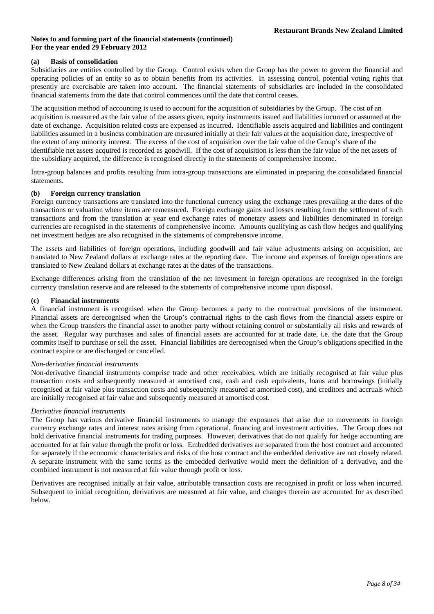## **(a) Basis of consolidation**

Subsidiaries are entities controlled by the Group. Control exists when the Group has the power to govern the financial and operating policies of an entity so as to obtain benefits from its activities. In assessing control, potential voting rights that presently are exercisable are taken into account. The financial statements of subsidiaries are included in the consolidated financial statements from the date that control commences until the date that control ceases.

The acquisition method of accounting is used to account for the acquisition of subsidiaries by the Group. The cost of an acquisition is measured as the fair value of the assets given, equity instruments issued and liabilities incurred or assumed at the date of exchange. Acquisition related costs are expensed as incurred. Identifiable assets acquired and liabilities and contingent liabilities assumed in a business combination are measured initially at their fair values at the acquisition date, irrespective of the extent of any minority interest. The excess of the cost of acquisition over the fair value of the Group's share of the identifiable net assets acquired is recorded as goodwill. If the cost of acquisition is less than the fair value of the net assets of the subsidiary acquired, the difference is recognised directly in the statements of comprehensive income.

Intra-group balances and profits resulting from intra-group transactions are eliminated in preparing the consolidated financial statements.

## **(b) Foreign currency translation**

Foreign currency transactions are translated into the functional currency using the exchange rates prevailing at the dates of the transactions or valuation where items are remeasured. Foreign exchange gains and losses resulting from the settlement of such transactions and from the translation at year end exchange rates of monetary assets and liabilities denominated in foreign currencies are recognised in the statements of comprehensive income. Amounts qualifying as cash flow hedges and qualifying net investment hedges are also recognised in the statements of comprehensive income.

The assets and liabilities of foreign operations, including goodwill and fair value adjustments arising on acquisition, are translated to New Zealand dollars at exchange rates at the reporting date. The income and expenses of foreign operations are translated to New Zealand dollars at exchange rates at the dates of the transactions.

Exchange differences arising from the translation of the net investment in foreign operations are recognised in the foreign currency translation reserve and are released to the statements of comprehensive income upon disposal.

## **(c) Financial instruments**

A financial instrument is recognised when the Group becomes a party to the contractual provisions of the instrument. Financial assets are derecognised when the Group's contractual rights to the cash flows from the financial assets expire or when the Group transfers the financial asset to another party without retaining control or substantially all risks and rewards of the asset. Regular way purchases and sales of financial assets are accounted for at trade date, i.e. the date that the Group commits itself to purchase or sell the asset. Financial liabilities are derecognised when the Group's obligations specified in the contract expire or are discharged or cancelled.

#### *Non-derivative financial instruments*

Non-derivative financial instruments comprise trade and other receivables, which are initially recognised at fair value plus transaction costs and subsequently measured at amortised cost, cash and cash equivalents, loans and borrowings (initially recognised at fair value plus transaction costs and subsequently measured at amortised cost), and creditors and accruals which are initially recognised at fair value and subsequently measured at amortised cost.

## *Derivative financial instruments*

The Group has various derivative financial instruments to manage the exposures that arise due to movements in foreign currency exchange rates and interest rates arising from operational, financing and investment activities. The Group does not hold derivative financial instruments for trading purposes. However, derivatives that do not qualify for hedge accounting are accounted for at fair value through the profit or loss. Embedded derivatives are separated from the host contract and accounted for separately if the economic characteristics and risks of the host contract and the embedded derivative are not closely related. A separate instrument with the same terms as the embedded derivative would meet the definition of a derivative, and the combined instrument is not measured at fair value through profit or loss.

Derivatives are recognised initially at fair value, attributable transaction costs are recognised in profit or loss when incurred. Subsequent to initial recognition, derivatives are measured at fair value, and changes therein are accounted for as described below.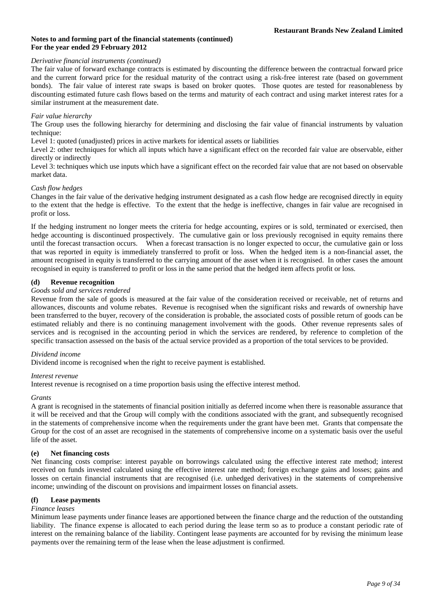#### *Derivative financial instruments (continued)*

The fair value of forward exchange contracts is estimated by discounting the difference between the contractual forward price and the current forward price for the residual maturity of the contract using a risk-free interest rate (based on government bonds). The fair value of interest rate swaps is based on broker quotes. Those quotes are tested for reasonableness by discounting estimated future cash flows based on the terms and maturity of each contract and using market interest rates for a similar instrument at the measurement date.

## *Fair value hierarchy*

The Group uses the following hierarchy for determining and disclosing the fair value of financial instruments by valuation technique:

Level 1: quoted (unadjusted) prices in active markets for identical assets or liabilities

Level 2: other techniques for which all inputs which have a significant effect on the recorded fair value are observable, either directly or indirectly

Level 3: techniques which use inputs which have a significant effect on the recorded fair value that are not based on observable market data.

## *Cash flow hedges*

Changes in the fair value of the derivative hedging instrument designated as a cash flow hedge are recognised directly in equity to the extent that the hedge is effective. To the extent that the hedge is ineffective, changes in fair value are recognised in profit or loss.

If the hedging instrument no longer meets the criteria for hedge accounting, expires or is sold, terminated or exercised, then hedge accounting is discontinued prospectively. The cumulative gain or loss previously recognised in equity remains there until the forecast transaction occurs. When a forecast transaction is no longer expected to occur, the cumulative gain or loss that was reported in equity is immediately transferred to profit or loss. When the hedged item is a non-financial asset, the amount recognised in equity is transferred to the carrying amount of the asset when it is recognised. In other cases the amount recognised in equity is transferred to profit or loss in the same period that the hedged item affects profit or loss.

## **(d) Revenue recognition**

## *Goods sold and services rendered*

Revenue from the sale of goods is measured at the fair value of the consideration received or receivable, net of returns and allowances, discounts and volume rebates. Revenue is recognised when the significant risks and rewards of ownership have been transferred to the buyer, recovery of the consideration is probable, the associated costs of possible return of goods can be estimated reliably and there is no continuing management involvement with the goods. Other revenue represents sales of services and is recognised in the accounting period in which the services are rendered, by reference to completion of the specific transaction assessed on the basis of the actual service provided as a proportion of the total services to be provided.

## *Dividend income*

Dividend income is recognised when the right to receive payment is established.

#### *Interest revenue*

Interest revenue is recognised on a time proportion basis using the effective interest method.

#### *Grants*

A grant is recognised in the statements of financial position initially as deferred income when there is reasonable assurance that it will be received and that the Group will comply with the conditions associated with the grant, and subsequently recognised in the statements of comprehensive income when the requirements under the grant have been met. Grants that compensate the Group for the cost of an asset are recognised in the statements of comprehensive income on a systematic basis over the useful life of the asset.

## **(e) Net financing costs**

Net financing costs comprise: interest payable on borrowings calculated using the effective interest rate method; interest received on funds invested calculated using the effective interest rate method; foreign exchange gains and losses; gains and losses on certain financial instruments that are recognised (i.e. unhedged derivatives) in the statements of comprehensive income; unwinding of the discount on provisions and impairment losses on financial assets.

#### **(f) Lease payments**

## *Finance leases*

Minimum lease payments under finance leases are apportioned between the finance charge and the reduction of the outstanding liability. The finance expense is allocated to each period during the lease term so as to produce a constant periodic rate of interest on the remaining balance of the liability. Contingent lease payments are accounted for by revising the minimum lease payments over the remaining term of the lease when the lease adjustment is confirmed.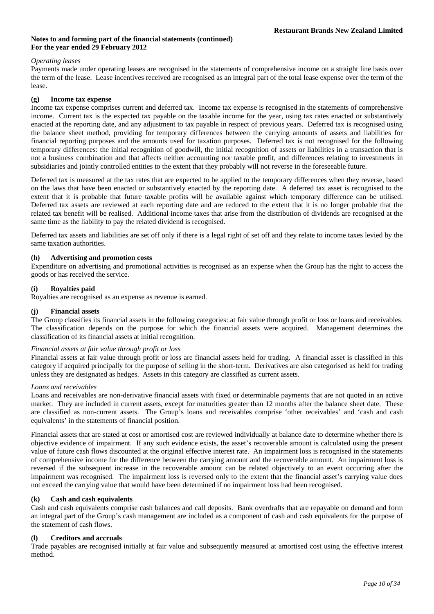## *Operating leases*

Payments made under operating leases are recognised in the statements of comprehensive income on a straight line basis over the term of the lease. Lease incentives received are recognised as an integral part of the total lease expense over the term of the lease.

## **(g) Income tax expense**

Income tax expense comprises current and deferred tax. Income tax expense is recognised in the statements of comprehensive income. Current tax is the expected tax payable on the taxable income for the year, using tax rates enacted or substantively enacted at the reporting date, and any adjustment to tax payable in respect of previous years. Deferred tax is recognised using the balance sheet method, providing for temporary differences between the carrying amounts of assets and liabilities for financial reporting purposes and the amounts used for taxation purposes. Deferred tax is not recognised for the following temporary differences: the initial recognition of goodwill, the initial recognition of assets or liabilities in a transaction that is not a business combination and that affects neither accounting nor taxable profit, and differences relating to investments in subsidiaries and jointly controlled entities to the extent that they probably will not reverse in the foreseeable future.

Deferred tax is measured at the tax rates that are expected to be applied to the temporary differences when they reverse, based on the laws that have been enacted or substantively enacted by the reporting date. A deferred tax asset is recognised to the extent that it is probable that future taxable profits will be available against which temporary difference can be utilised. Deferred tax assets are reviewed at each reporting date and are reduced to the extent that it is no longer probable that the related tax benefit will be realised. Additional income taxes that arise from the distribution of dividends are recognised at the same time as the liability to pay the related dividend is recognised.

Deferred tax assets and liabilities are set off only if there is a legal right of set off and they relate to income taxes levied by the same taxation authorities.

## **(h) Advertising and promotion costs**

Expenditure on advertising and promotional activities is recognised as an expense when the Group has the right to access the goods or has received the service.

## **(i) Royalties paid**

Royalties are recognised as an expense as revenue is earned.

#### **(j) Financial assets**

The Group classifies its financial assets in the following categories: at fair value through profit or loss or loans and receivables. The classification depends on the purpose for which the financial assets were acquired. Management determines the classification of its financial assets at initial recognition.

#### *Financial assets at fair value through profit or loss*

Financial assets at fair value through profit or loss are financial assets held for trading. A financial asset is classified in this category if acquired principally for the purpose of selling in the short-term. Derivatives are also categorised as held for trading unless they are designated as hedges. Assets in this category are classified as current assets.

## *Loans and receivables*

Loans and receivables are non-derivative financial assets with fixed or determinable payments that are not quoted in an active market. They are included in current assets, except for maturities greater than 12 months after the balance sheet date. These are classified as non-current assets. The Group's loans and receivables comprise 'other receivables' and 'cash and cash equivalents' in the statements of financial position.

Financial assets that are stated at cost or amortised cost are reviewed individually at balance date to determine whether there is objective evidence of impairment. If any such evidence exists, the asset's recoverable amount is calculated using the present value of future cash flows discounted at the original effective interest rate. An impairment loss is recognised in the statements of comprehensive income for the difference between the carrying amount and the recoverable amount. An impairment loss is reversed if the subsequent increase in the recoverable amount can be related objectively to an event occurring after the impairment was recognised. The impairment loss is reversed only to the extent that the financial asset's carrying value does not exceed the carrying value that would have been determined if no impairment loss had been recognised.

## **(k) Cash and cash equivalents**

Cash and cash equivalents comprise cash balances and call deposits. Bank overdrafts that are repayable on demand and form an integral part of the Group's cash management are included as a component of cash and cash equivalents for the purpose of the statement of cash flows.

#### **(l) Creditors and accruals**

Trade payables are recognised initially at fair value and subsequently measured at amortised cost using the effective interest method.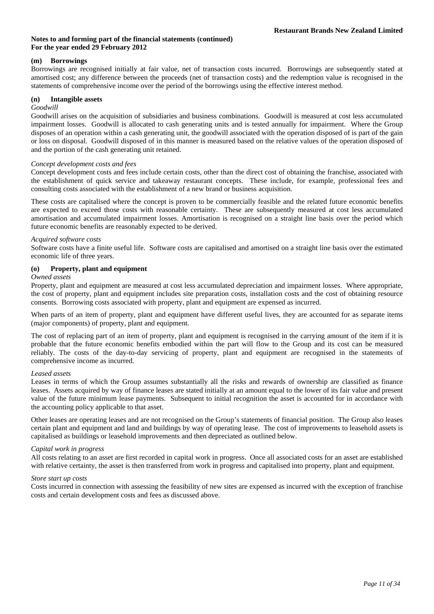## **(m) Borrowings**

Borrowings are recognised initially at fair value, net of transaction costs incurred. Borrowings are subsequently stated at amortised cost; any difference between the proceeds (net of transaction costs) and the redemption value is recognised in the statements of comprehensive income over the period of the borrowings using the effective interest method.

## **(n) Intangible assets**

## *Goodwill*

Goodwill arises on the acquisition of subsidiaries and business combinations. Goodwill is measured at cost less accumulated impairment losses. Goodwill is allocated to cash generating units and is tested annually for impairment. Where the Group disposes of an operation within a cash generating unit, the goodwill associated with the operation disposed of is part of the gain or loss on disposal. Goodwill disposed of in this manner is measured based on the relative values of the operation disposed of and the portion of the cash generating unit retained.

#### *Concept development costs and fees*

Concept development costs and fees include certain costs, other than the direct cost of obtaining the franchise, associated with the establishment of quick service and takeaway restaurant concepts. These include, for example, professional fees and consulting costs associated with the establishment of a new brand or business acquisition.

These costs are capitalised where the concept is proven to be commercially feasible and the related future economic benefits are expected to exceed those costs with reasonable certainty. These are subsequently measured at cost less accumulated amortisation and accumulated impairment losses. Amortisation is recognised on a straight line basis over the period which future economic benefits are reasonably expected to be derived.

## *Acquired software costs*

Software costs have a finite useful life. Software costs are capitalised and amortised on a straight line basis over the estimated economic life of three years.

## **(o) Property, plant and equipment**

## *Owned assets*

Property, plant and equipment are measured at cost less accumulated depreciation and impairment losses. Where appropriate, the cost of property, plant and equipment includes site preparation costs, installation costs and the cost of obtaining resource consents. Borrowing costs associated with property, plant and equipment are expensed as incurred.

When parts of an item of property, plant and equipment have different useful lives, they are accounted for as separate items (major components) of property, plant and equipment.

The cost of replacing part of an item of property, plant and equipment is recognised in the carrying amount of the item if it is probable that the future economic benefits embodied within the part will flow to the Group and its cost can be measured reliably. The costs of the day-to-day servicing of property, plant and equipment are recognised in the statements of comprehensive income as incurred.

#### *Leased assets*

Leases in terms of which the Group assumes substantially all the risks and rewards of ownership are classified as finance leases. Assets acquired by way of finance leases are stated initially at an amount equal to the lower of its fair value and present value of the future minimum lease payments. Subsequent to initial recognition the asset is accounted for in accordance with the accounting policy applicable to that asset.

Other leases are operating leases and are not recognised on the Group's statements of financial position. The Group also leases certain plant and equipment and land and buildings by way of operating lease. The cost of improvements to leasehold assets is capitalised as buildings or leasehold improvements and then depreciated as outlined below.

#### *Capital work in progress*

All costs relating to an asset are first recorded in capital work in progress. Once all associated costs for an asset are established with relative certainty, the asset is then transferred from work in progress and capitalised into property, plant and equipment.

#### *Store start up costs*

Costs incurred in connection with assessing the feasibility of new sites are expensed as incurred with the exception of franchise costs and certain development costs and fees as discussed above.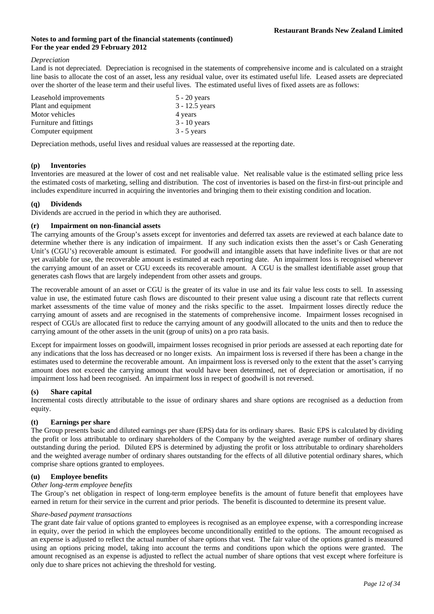#### *Depreciation*

Land is not depreciated. Depreciation is recognised in the statements of comprehensive income and is calculated on a straight line basis to allocate the cost of an asset, less any residual value, over its estimated useful life. Leased assets are depreciated over the shorter of the lease term and their useful lives. The estimated useful lives of fixed assets are as follows:

| Leasehold improvements | $5 - 20$ years   |
|------------------------|------------------|
| Plant and equipment    | $3 - 12.5$ years |
| Motor vehicles         | 4 years          |
| Furniture and fittings | $3 - 10$ years   |
| Computer equipment     | $3 - 5$ years    |

Depreciation methods, useful lives and residual values are reassessed at the reporting date.

## **(p) Inventories**

Inventories are measured at the lower of cost and net realisable value. Net realisable value is the estimated selling price less the estimated costs of marketing, selling and distribution. The cost of inventories is based on the first-in first-out principle and includes expenditure incurred in acquiring the inventories and bringing them to their existing condition and location.

## **(q) Dividends**

Dividends are accrued in the period in which they are authorised.

## **(r) Impairment on non-financial assets**

The carrying amounts of the Group's assets except for inventories and deferred tax assets are reviewed at each balance date to determine whether there is any indication of impairment. If any such indication exists then the asset's or Cash Generating Unit's (CGU's) recoverable amount is estimated. For goodwill and intangible assets that have indefinite lives or that are not yet available for use, the recoverable amount is estimated at each reporting date. An impairment loss is recognised whenever the carrying amount of an asset or CGU exceeds its recoverable amount. A CGU is the smallest identifiable asset group that generates cash flows that are largely independent from other assets and groups.

The recoverable amount of an asset or CGU is the greater of its value in use and its fair value less costs to sell. In assessing value in use, the estimated future cash flows are discounted to their present value using a discount rate that reflects current market assessments of the time value of money and the risks specific to the asset. Impairment losses directly reduce the carrying amount of assets and are recognised in the statements of comprehensive income. Impairment losses recognised in respect of CGUs are allocated first to reduce the carrying amount of any goodwill allocated to the units and then to reduce the carrying amount of the other assets in the unit (group of units) on a pro rata basis.

Except for impairment losses on goodwill, impairment losses recognised in prior periods are assessed at each reporting date for any indications that the loss has decreased or no longer exists. An impairment loss is reversed if there has been a change in the estimates used to determine the recoverable amount. An impairment loss is reversed only to the extent that the asset's carrying amount does not exceed the carrying amount that would have been determined, net of depreciation or amortisation, if no impairment loss had been recognised. An impairment loss in respect of goodwill is not reversed.

#### **(s) Share capital**

Incremental costs directly attributable to the issue of ordinary shares and share options are recognised as a deduction from equity.

## **(t) Earnings per share**

The Group presents basic and diluted earnings per share (EPS) data for its ordinary shares. Basic EPS is calculated by dividing the profit or loss attributable to ordinary shareholders of the Company by the weighted average number of ordinary shares outstanding during the period. Diluted EPS is determined by adjusting the profit or loss attributable to ordinary shareholders and the weighted average number of ordinary shares outstanding for the effects of all dilutive potential ordinary shares, which comprise share options granted to employees.

## **(u) Employee benefits**

## *Other long-term employee benefits*

The Group's net obligation in respect of long-term employee benefits is the amount of future benefit that employees have earned in return for their service in the current and prior periods. The benefit is discounted to determine its present value.

#### *Share-based payment transactions*

The grant date fair value of options granted to employees is recognised as an employee expense, with a corresponding increase in equity, over the period in which the employees become unconditionally entitled to the options. The amount recognised as an expense is adjusted to reflect the actual number of share options that vest. The fair value of the options granted is measured using an options pricing model, taking into account the terms and conditions upon which the options were granted. The amount recognised as an expense is adjusted to reflect the actual number of share options that vest except where forfeiture is only due to share prices not achieving the threshold for vesting.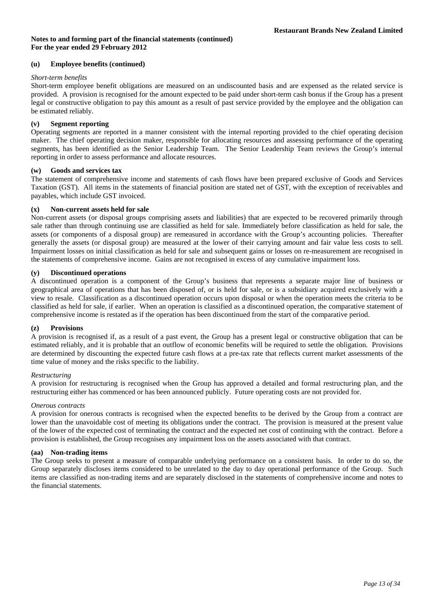## **(u) Employee benefits (continued)**

## *Short-term benefits*

Short-term employee benefit obligations are measured on an undiscounted basis and are expensed as the related service is provided. A provision is recognised for the amount expected to be paid under short-term cash bonus if the Group has a present legal or constructive obligation to pay this amount as a result of past service provided by the employee and the obligation can be estimated reliably.

## **(v) Segment reporting**

Operating segments are reported in a manner consistent with the internal reporting provided to the chief operating decision maker. The chief operating decision maker, responsible for allocating resources and assessing performance of the operating segments, has been identified as the Senior Leadership Team. The Senior Leadership Team reviews the Group's internal reporting in order to assess performance and allocate resources.

## **(w) Goods and services tax**

The statement of comprehensive income and statements of cash flows have been prepared exclusive of Goods and Services Taxation (GST). All items in the statements of financial position are stated net of GST, with the exception of receivables and payables, which include GST invoiced.

## **(x) Non-current assets held for sale**

Non-current assets (or disposal groups comprising assets and liabilities) that are expected to be recovered primarily through sale rather than through continuing use are classified as held for sale. Immediately before classification as held for sale, the assets (or components of a disposal group) are remeasured in accordance with the Group's accounting policies. Thereafter generally the assets (or disposal group) are measured at the lower of their carrying amount and fair value less costs to sell. Impairment losses on initial classification as held for sale and subsequent gains or losses on re-measurement are recognised in the statements of comprehensive income. Gains are not recognised in excess of any cumulative impairment loss.

## **(y) Discontinued operations**

A discontinued operation is a component of the Group's business that represents a separate major line of business or geographical area of operations that has been disposed of, or is held for sale, or is a subsidiary acquired exclusively with a view to resale. Classification as a discontinued operation occurs upon disposal or when the operation meets the criteria to be classified as held for sale, if earlier. When an operation is classified as a discontinued operation, the comparative statement of comprehensive income is restated as if the operation has been discontinued from the start of the comparative period.

#### **(z) Provisions**

A provision is recognised if, as a result of a past event, the Group has a present legal or constructive obligation that can be estimated reliably, and it is probable that an outflow of economic benefits will be required to settle the obligation. Provisions are determined by discounting the expected future cash flows at a pre-tax rate that reflects current market assessments of the time value of money and the risks specific to the liability.

#### *Restructuring*

A provision for restructuring is recognised when the Group has approved a detailed and formal restructuring plan, and the restructuring either has commenced or has been announced publicly. Future operating costs are not provided for.

#### *Onerous contracts*

A provision for onerous contracts is recognised when the expected benefits to be derived by the Group from a contract are lower than the unavoidable cost of meeting its obligations under the contract. The provision is measured at the present value of the lower of the expected cost of terminating the contract and the expected net cost of continuing with the contract. Before a provision is established, the Group recognises any impairment loss on the assets associated with that contract.

## **(aa) Non-trading items**

The Group seeks to present a measure of comparable underlying performance on a consistent basis. In order to do so, the Group separately discloses items considered to be unrelated to the day to day operational performance of the Group. Such items are classified as non-trading items and are separately disclosed in the statements of comprehensive income and notes to the financial statements.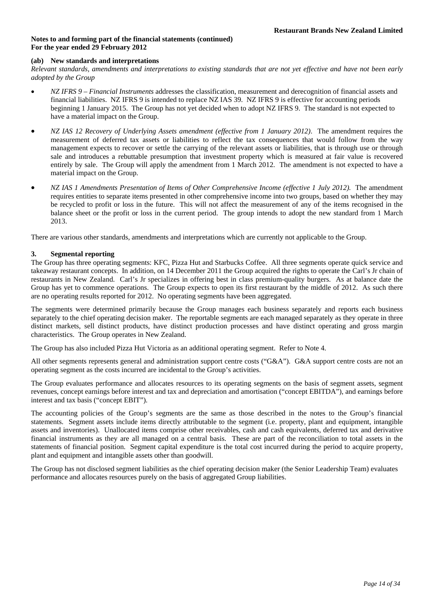## **(ab) New standards and interpretations**

*Relevant standards, amendments and interpretations to existing standards that are not yet effective and have not been early adopted by the Group* 

- *NZ IFRS 9 Financial Instruments* addresses the classification, measurement and derecognition of financial assets and financial liabilities. NZ IFRS 9 is intended to replace NZ IAS 39. NZ IFRS 9 is effective for accounting periods beginning 1 January 2015. The Group has not yet decided when to adopt NZ IFRS 9. The standard is not expected to have a material impact on the Group.
- *NZ IAS 12 Recovery of Underlying Assets amendment (effective from 1 January 2012)*. The amendment requires the measurement of deferred tax assets or liabilities to reflect the tax consequences that would follow from the way management expects to recover or settle the carrying of the relevant assets or liabilities, that is through use or through sale and introduces a rebuttable presumption that investment property which is measured at fair value is recovered entirely by sale. The Group will apply the amendment from 1 March 2012. The amendment is not expected to have a material impact on the Group.
- *NZ IAS 1 Amendments Presentation of Items of Other Comprehensive Income (effective 1 July 2012).* The amendment requires entities to separate items presented in other comprehensive income into two groups, based on whether they may be recycled to profit or loss in the future. This will not affect the measurement of any of the items recognised in the balance sheet or the profit or loss in the current period. The group intends to adopt the new standard from 1 March 2013.

There are various other standards, amendments and interpretations which are currently not applicable to the Group.

## **3. Segmental reporting**

The Group has three operating segments: KFC, Pizza Hut and Starbucks Coffee. All three segments operate quick service and takeaway restaurant concepts. In addition, on 14 December 2011 the Group acquired the rights to operate the Carl's Jr chain of restaurants in New Zealand. Carl's Jr specializes in offering best in class premium-quality burgers. As at balance date the Group has yet to commence operations. The Group expects to open its first restaurant by the middle of 2012. As such there are no operating results reported for 2012. No operating segments have been aggregated.

The segments were determined primarily because the Group manages each business separately and reports each business separately to the chief operating decision maker. The reportable segments are each managed separately as they operate in three distinct markets, sell distinct products, have distinct production processes and have distinct operating and gross margin characteristics. The Group operates in New Zealand.

The Group has also included Pizza Hut Victoria as an additional operating segment. Refer to Note 4.

All other segments represents general and administration support centre costs ("G&A"). G&A support centre costs are not an operating segment as the costs incurred are incidental to the Group's activities.

The Group evaluates performance and allocates resources to its operating segments on the basis of segment assets, segment revenues, concept earnings before interest and tax and depreciation and amortisation ("concept EBITDA"), and earnings before interest and tax basis ("concept EBIT").

The accounting policies of the Group's segments are the same as those described in the notes to the Group's financial statements. Segment assets include items directly attributable to the segment (i.e. property, plant and equipment, intangible assets and inventories). Unallocated items comprise other receivables, cash and cash equivalents, deferred tax and derivative financial instruments as they are all managed on a central basis. These are part of the reconciliation to total assets in the statements of financial position. Segment capital expenditure is the total cost incurred during the period to acquire property, plant and equipment and intangible assets other than goodwill.

The Group has not disclosed segment liabilities as the chief operating decision maker (the Senior Leadership Team) evaluates performance and allocates resources purely on the basis of aggregated Group liabilities.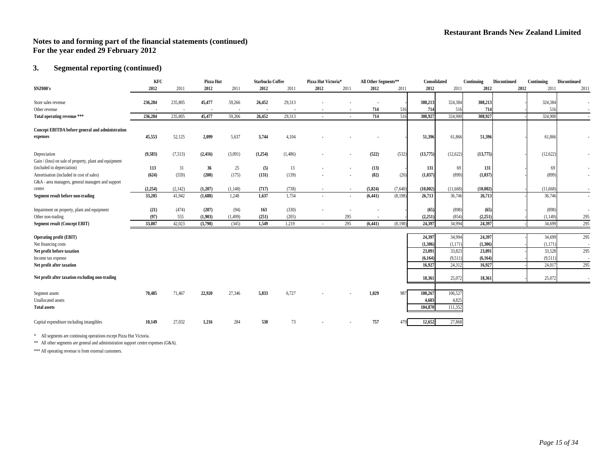## **3. Segmental reporting (continued)**

|                                                        | KFC      |         | Pizza Hut |          | <b>Starbucks Coffee</b> |         | Pizza Hut Victoria* |                | All Other Segments** |         | Consolidated |          | Continuing | Discontinued | Continuing | <b>Discontinued</b> |
|--------------------------------------------------------|----------|---------|-----------|----------|-------------------------|---------|---------------------|----------------|----------------------|---------|--------------|----------|------------|--------------|------------|---------------------|
| \$NZ000's                                              | 2012     | 2011    | 2012      | 2011     | 2012                    | 2011    | 2012                | 2011           | 2012                 | 2011    | 2012         | 2011     | 2012       | 2012         | 2011       | 2011                |
| Store sales revenue                                    | 236,284  | 235,805 | 45,477    | 59,266   | 26,452                  | 29,313  |                     |                |                      |         | 308,213      | 324,384  | 308,213    |              | 324,384    | $\blacksquare$      |
| Other revenue                                          |          |         |           |          |                         |         |                     |                | 714                  | 516     | 714          | 516      | 714        |              | 516        |                     |
| Total operating revenue ***                            | 236,284  | 235,805 | 45,477    | 59,266   | 26,452                  | 29,313  |                     |                | 714                  | 516     | 308,927      | 324,900  | 308,927    |              | 324,900    |                     |
|                                                        |          |         |           |          |                         |         |                     |                |                      |         |              |          |            |              |            |                     |
| Concept EBITDA before general and administration       |          |         |           |          |                         |         |                     |                |                      |         |              |          |            |              |            |                     |
| expenses                                               | 45,553   | 52,125  | 2,099     | 5,637    | 3,744                   | 4,104   |                     |                |                      |         | 51,396       | 61,866   | 51,396     |              | 61,866     |                     |
|                                                        |          |         |           |          |                         |         |                     |                |                      |         |              |          |            |              |            |                     |
| Depreciation                                           | (9,583)  | (7,513) | (2, 416)  | (3,091)  | (1,254)                 | (1,486) |                     | $\blacksquare$ | (522)                | (532)   | (13,775)     | (12,622) | (13,775)   |              | (12, 622)  | ٠                   |
| Gain / (loss) on sale of property, plant and equipment |          |         |           |          |                         |         |                     |                |                      |         |              |          |            |              |            |                     |
| (included in depreciation)                             | 113      | 31      | 36        | 25       | (5)                     | 13      |                     | $\blacksquare$ | (13)                 |         | 131          | 69       | 131        |              | 69         | $\sim$              |
| Amortisation (included in cost of sales)               | (624)    | (559)   | (200)     | (175)    | (131)                   | (139)   |                     | $\blacksquare$ | (82)                 | (26)    | (1,037)      | (899)    | (1,037)    |              | (899)      | $\blacksquare$      |
| G&A - area managers, general managers and support      |          |         |           |          |                         |         |                     |                |                      |         |              |          |            |              |            |                     |
| centre                                                 | (2, 254) | (2,142) | (1,207)   | (1,148)  | (717)                   | (738)   |                     | $\blacksquare$ | (5,824)              | (7,640) | (10,002)     | (11,668) | (10,002)   |              | (11,668)   |                     |
| Segment result before non-trading                      | 33,205   | 41,942  | (1,688)   | 1,248    | 1,637                   | 1,754   | $\sim$              | $\sim$         | (6, 441)             | (8,198) | 26,713       | 36,746   | 26,713     |              | 36,746     | $\sim$              |
| Impairment on property, plant and equipment            | (21)     | (474)   | (207)     | (94)     | 163                     | (330)   |                     |                | $\blacksquare$       |         | (65)         | (898)    | (65)       |              | (898)      | $\blacksquare$      |
| Other non-trading                                      | (97)     | 555     | (1,903)   | (1, 499) | (251)                   | (205)   |                     | 295            |                      |         | (2, 251)     | (854)    | (2,251)    |              | (1,149)    | 295                 |
| Segment result (Concept EBIT)                          | 33,087   | 42,023  | (3,798)   | (345)    | 1,549                   | 1,219   |                     | 295            | (6, 441)             | (8,198) | 24,397       | 34,994   | 24,397     |              | 34,699     | 295                 |
|                                                        |          |         |           |          |                         |         |                     |                |                      |         |              |          |            |              |            |                     |
| <b>Operating profit (EBIT)</b>                         |          |         |           |          |                         |         |                     |                |                      |         | 24,397       | 34,994   | 24,397     |              | 34,699     | 295                 |
| Net financing costs                                    |          |         |           |          |                         |         |                     |                |                      |         | (1,306)      | (1,171)  | (1,306)    |              | (1,171)    | $\sim$              |
| Net profit before taxation                             |          |         |           |          |                         |         |                     |                |                      |         | 23,091       | 33,823   | 23,091     |              | 33,528     | 295                 |
| Income tax expense                                     |          |         |           |          |                         |         |                     |                |                      |         | (6,164)      | (9,511)  | (6, 164)   |              | (9,511)    | $\sim$              |
| Net profit after taxation                              |          |         |           |          |                         |         |                     |                |                      |         | 16,927       | 24,312   | 16,927     |              | 24.01      | 295                 |
|                                                        |          |         |           |          |                         |         |                     |                |                      |         |              |          |            |              |            |                     |
| Net profit after taxation excluding non-trading        |          |         |           |          |                         |         |                     |                |                      |         | 18,361       | 25,072   | 18,361     |              | 25,072     |                     |
|                                                        | 70,485   | 71,467  | 22,920    | 27,346   | 5,833                   | 6,727   |                     |                | 1,029                | 987     | 100,267      | 106,527  |            |              |            |                     |
| Segment assets<br>Unallocated assets                   |          |         |           |          |                         |         |                     |                |                      |         | 4.603        | 4,825    |            |              |            |                     |
|                                                        |          |         |           |          |                         |         |                     |                |                      |         |              |          |            |              |            |                     |
| <b>Total assets</b>                                    |          |         |           |          |                         |         |                     |                |                      |         | 104.870      | 111,352  |            |              |            |                     |
| Capital expenditure including intangibles              | 10,149   | 27,032  | 1,216     | 284      | 530                     | 73      |                     |                | 757                  | 479     | 12,652       | 27,868   |            |              |            |                     |

\* All segments are continuing operations except Pizza Hut Victoria.

\*\* All other segments are general and administration support centre expenses (G&A).

\*\*\* All operating revenue is from external customers.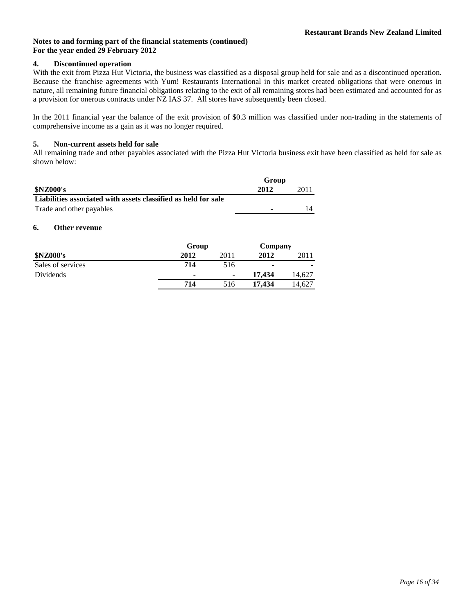## **4. Discontinued operation**

With the exit from Pizza Hut Victoria, the business was classified as a disposal group held for sale and as a discontinued operation. Because the franchise agreements with Yum! Restaurants International in this market created obligations that were onerous in nature, all remaining future financial obligations relating to the exit of all remaining stores had been estimated and accounted for as a provision for onerous contracts under NZ IAS 37. All stores have subsequently been closed.

In the 2011 financial year the balance of the exit provision of \$0.3 million was classified under non-trading in the statements of comprehensive income as a gain as it was no longer required.

## **5. Non-current assets held for sale**

All remaining trade and other payables associated with the Pizza Hut Victoria business exit have been classified as held for sale as shown below:

|                                                                | Group |      |
|----------------------------------------------------------------|-------|------|
| <b>\$NZ000's</b>                                               | 2012  | 2011 |
| Liabilities associated with assets classified as held for sale |       |      |
| Trade and other payables                                       | ۰     |      |

## **6. Other revenue**

|                   | Group | Company                  |        |        |
|-------------------|-------|--------------------------|--------|--------|
| <b>\$NZ000's</b>  | 2012  | 2011                     | 2012   | 2011   |
| Sales of services | 714   | 516                      | -      |        |
| Dividends         | ٠     | $\overline{\phantom{a}}$ | 17.434 | 14.627 |
|                   | 714   | 516                      | 17.434 | 14.627 |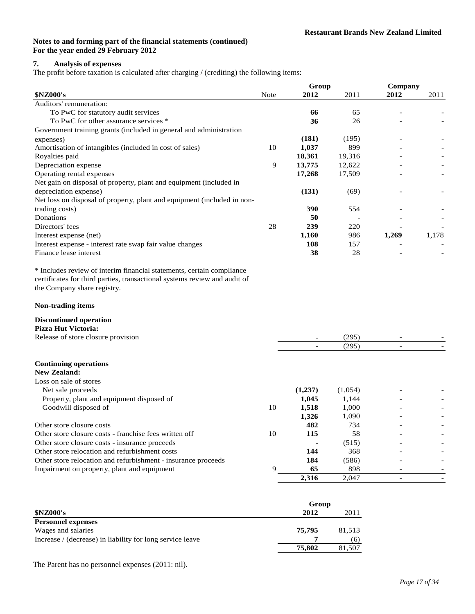## **7. Analysis of expenses**

The profit before taxation is calculated after charging / (crediting) the following items:

|                                                                         |             | Group  |        | Company |       |  |
|-------------------------------------------------------------------------|-------------|--------|--------|---------|-------|--|
| <b>\$NZ000's</b>                                                        | <b>Note</b> | 2012   | 2011   | 2012    | 2011  |  |
| Auditors' remuneration:                                                 |             |        |        |         |       |  |
| To PwC for statutory audit services                                     |             | 66     | 65     |         |       |  |
| To PwC for other assurance services *                                   |             | 36     | 26     |         |       |  |
| Government training grants (included in general and administration      |             |        |        |         |       |  |
| expenses)                                                               |             | (181)  | (195)  |         |       |  |
| Amortisation of intangibles (included in cost of sales)                 | 10          | 1,037  | 899    |         |       |  |
| Royalties paid                                                          |             | 18,361 | 19,316 |         |       |  |
| Depreciation expense                                                    | 9           | 13,775 | 12,622 |         |       |  |
| Operating rental expenses                                               |             | 17,268 | 17,509 |         |       |  |
| Net gain on disposal of property, plant and equipment (included in      |             |        |        |         |       |  |
| depreciation expense)                                                   |             | (131)  | (69)   |         |       |  |
| Net loss on disposal of property, plant and equipment (included in non- |             |        |        |         |       |  |
| trading costs)                                                          |             | 390    | 554    |         |       |  |
| Donations                                                               |             | 50     |        |         |       |  |
| Directors' fees                                                         | 28          | 239    | 220    |         |       |  |
| Interest expense (net)                                                  |             | 1,160  | 986    | 1,269   | 1,178 |  |
| Interest expense - interest rate swap fair value changes                |             | 108    | 157    |         |       |  |
| Finance lease interest                                                  |             | 38     | 28     |         |       |  |

\* Includes review of interim financial statements, certain compliance certificates for third parties, transactional systems review and audit of the Company share registry.

## **Non-trading items**

#### **Discontinued operation Pizza Hut Victoria:**

| г <i>ил</i> а пис укила:                                      |    |         |         |  |
|---------------------------------------------------------------|----|---------|---------|--|
| Release of store closure provision                            |    |         | (295)   |  |
|                                                               |    |         | (295)   |  |
| <b>Continuing operations</b>                                  |    |         |         |  |
| New Zealand:                                                  |    |         |         |  |
| Loss on sale of stores                                        |    |         |         |  |
| Net sale proceeds                                             |    | (1,237) | (1,054) |  |
| Property, plant and equipment disposed of                     |    | 1.045   | 1,144   |  |
| Goodwill disposed of                                          | 10 | 1,518   | 1,000   |  |
|                                                               |    | 1,326   | 1,090   |  |
| Other store closure costs                                     |    | 482     | 734     |  |
| Other store closure costs - franchise fees written off        | 10 | 115     | 58      |  |
| Other store closure costs - insurance proceeds                |    |         | (515)   |  |
| Other store relocation and refurbishment costs                |    | 144     | 368     |  |
| Other store relocation and refurbishment - insurance proceeds |    | 184     | (586)   |  |
| Impairment on property, plant and equipment                   | 9  | 65      | 898     |  |
|                                                               |    | 2,316   | 2,047   |  |

|                                                           | Group  |        |  |
|-----------------------------------------------------------|--------|--------|--|
| <b>\$NZ000's</b>                                          | 2012   | 2011   |  |
| <b>Personnel expenses</b>                                 |        |        |  |
| Wages and salaries                                        | 75.795 | 81,513 |  |
| Increase / (decrease) in liability for long service leave |        | (6)    |  |
|                                                           | 75,802 | 81.507 |  |

The Parent has no personnel expenses (2011: nil).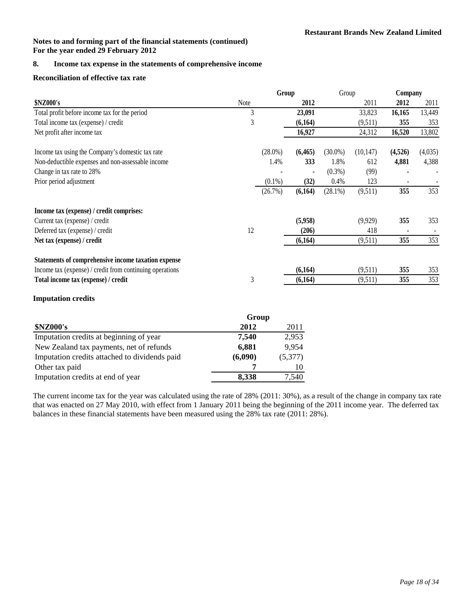## **8. Income tax expense in the statements of comprehensive income**

## **Reconciliation of effective tax rate**

|                                                          |             | Group      |                | Group      |           | Company |         |
|----------------------------------------------------------|-------------|------------|----------------|------------|-----------|---------|---------|
| \$NZ000's                                                | <b>Note</b> |            | 2012           |            | 2011      | 2012    | 2011    |
| Total profit before income tax for the period            | 3           |            | 23,091         |            | 33,823    | 16,165  | 13,449  |
| Total income tax (expense) / credit                      | 3           |            | (6,164)        |            | (9,511)   | 355     | 353     |
| Net profit after income tax                              |             |            | 16,927         |            | 24,312    | 16,520  | 13,802  |
| Income tax using the Company's domestic tax rate         |             | $(28.0\%)$ | (6, 465)       | $(30.0\%)$ | (10, 147) | (4,526) | (4,035) |
| Non-deductible expenses and non-assessable income        |             | 1.4%       | 333            | 1.8%       | 612       | 4,881   | 4,388   |
| Change in tax rate to 28%                                |             |            | $\blacksquare$ | $(0.3\%)$  | (99)      |         |         |
| Prior period adjustment                                  |             | $(0.1\%)$  | (32)           | 0.4%       | 123       |         |         |
|                                                          |             | (26.7%)    | (6,164)        | $(28.1\%)$ | (9,511)   | 355     | 353     |
| Income tax (expense) / credit comprises:                 |             |            |                |            |           |         |         |
| Current tax (expense) / credit                           |             |            | (5,958)        |            | (9,929)   | 355     | 353     |
| Deferred tax (expense) / credit                          | 12          |            | (206)          |            | 418       |         |         |
| Net tax (expense) / credit                               |             |            | (6,164)        |            | (9,511)   | 355     | 353     |
| Statements of comprehensive income taxation expense      |             |            |                |            |           |         |         |
| Income tax (expense) / credit from continuing operations |             |            | (6,164)        |            | (9,511)   | 355     | 353     |
| Total income tax (expense) / credit                      | 3           |            | (6,164)        |            | (9,511)   | 355     | 353     |
|                                                          |             |            |                |            |           |         |         |

## **Imputation credits**

|                                               | Group   |         |
|-----------------------------------------------|---------|---------|
| <b>\$NZ000's</b>                              | 2012    | 2011    |
| Imputation credits at beginning of year       | 7,540   | 2,953   |
| New Zealand tax payments, net of refunds      | 6,881   | 9,954   |
| Imputation credits attached to dividends paid | (6,090) | (5,377) |
| Other tax paid                                |         |         |
| Imputation credits at end of year             | 8.338   | 7.540   |

The current income tax for the year was calculated using the rate of 28% (2011: 30%), as a result of the change in company tax rate that was enacted on 27 May 2010, with effect from 1 January 2011 being the beginning of the 2011 income year. The deferred tax balances in these financial statements have been measured using the 28% tax rate (2011: 28%).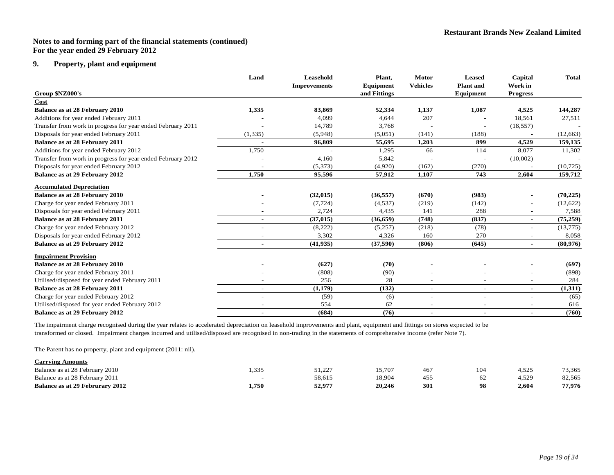## **9. Property, plant and equipment**

|                                                             | Land                     | Leasehold           | Plant,       | <b>Motor</b>    | <b>Leased</b>    | Capital                  | <b>Total</b> |
|-------------------------------------------------------------|--------------------------|---------------------|--------------|-----------------|------------------|--------------------------|--------------|
|                                                             |                          | <b>Improvements</b> | Equipment    | <b>Vehicles</b> | <b>Plant</b> and | Work in                  |              |
| Group \$NZ000's                                             |                          |                     | and Fittings |                 | Equipment        | <b>Progress</b>          |              |
| Cost                                                        |                          |                     |              |                 |                  |                          |              |
| Balance as at 28 February 2010                              | 1,335                    | 83,869              | 52,334       | 1,137           | 1,087            | 4,525                    | 144,287      |
| Additions for year ended February 2011                      |                          | 4,099               | 4,644        | 207             |                  | 18,561                   | 27,511       |
| Transfer from work in progress for year ended February 2011 |                          | 14,789              | 3,768        |                 |                  | (18, 557)                |              |
| Disposals for year ended February 2011                      | (1, 335)                 | (5,948)             | (5,051)      | (141)           | (188)            |                          | (12, 663)    |
| Balance as at 28 February 2011                              |                          | 96,809              | 55,695       | 1,203           | 899              | 4,529                    | 159,135      |
| Additions for year ended February 2012                      | 1,750                    |                     | 1,295        | 66              | 114              | 8,077                    | 11,302       |
| Transfer from work in progress for year ended February 2012 |                          | 4,160               | 5,842        |                 |                  | (10,002)                 |              |
| Disposals for year ended February 2012                      |                          | (5,373)             | (4,920)      | (162)           | (270)            |                          | (10, 725)    |
| <b>Balance as at 29 February 2012</b>                       | 1,750                    | 95,596              | 57,912       | 1,107           | 743              | 2,604                    | 159,712      |
| <b>Accumulated Depreciation</b>                             |                          |                     |              |                 |                  |                          |              |
| <b>Balance as at 28 February 2010</b>                       |                          | (32, 015)           | (36, 557)    | (670)           | (983)            |                          | (70, 225)    |
| Charge for year ended February 2011                         |                          | (7, 724)            | (4,537)      | (219)           | (142)            |                          | (12,622)     |
| Disposals for year ended February 2011                      |                          | 2,724               | 4,435        | 141             | 288              | $\overline{\phantom{0}}$ | 7,588        |
| Balance as at 28 February 2011                              |                          | (37, 015)           | (36, 659)    | (748)           | (837)            | $\blacksquare$           | (75, 259)    |
| Charge for year ended February 2012                         |                          | (8,222)             | (5,257)      | (218)           | (78)             | $\overline{\phantom{a}}$ | (13,775)     |
| Disposals for year ended February 2012                      |                          | 3,302               | 4,326        | 160             | 270              | $\overline{\phantom{a}}$ | 8,058        |
| <b>Balance as at 29 February 2012</b>                       |                          | (41, 935)           | (37, 590)    | (806)           | (645)            | $\blacksquare$           | (80,976)     |
| <b>Impairment Provision</b>                                 |                          |                     |              |                 |                  |                          |              |
| <b>Balance as at 28 February 2010</b>                       |                          | (627)               | (70)         |                 |                  |                          | (697)        |
| Charge for year ended February 2011                         |                          | (808)               | (90)         |                 |                  |                          | (898)        |
| Utilised/disposed for year ended February 2011              |                          | 256                 | 28           |                 |                  |                          | 284          |
| Balance as at 28 February 2011                              | $\overline{\phantom{0}}$ | (1,179)             | (132)        | $\sim$          |                  | ٠                        | (1,311)      |
| Charge for year ended February 2012                         |                          | (59)                | (6)          |                 |                  |                          | (65)         |
| Utilised/disposed for year ended February 2012              |                          | 554                 | 62           |                 |                  |                          | 616          |
| <b>Balance as at 29 February 2012</b>                       | $\blacksquare$           | (684)               | (76)         | $\blacksquare$  |                  | $\blacksquare$           | (760)        |

The impairment charge recognised during the year relates to accelerated depreciation on leasehold improvements and plant, equipment and fittings on stores expected to be tran sformed or closed. Impairment charges incurred and utilised/disposed are recognised in non-trading in the statements of comprehensive income (refer Note 7).

The Parent has no property, plant and equipment (2011: nil).

| <b>Carrying Amounts</b>                |       |        |        |     |     |        |        |
|----------------------------------------|-------|--------|--------|-----|-----|--------|--------|
| Balance as at 28 February 2010         | 1.335 | 51.227 | 15.707 | 467 | 104 | 4.525  | 73,365 |
| Balance as at 28 February 2011         |       | 58.615 | 18.904 | 455 | 62  | $+529$ | 82,565 |
| <b>Balance as at 29 Februrary 2012</b> | 1,750 | 52,977 | 20,246 | 301 | 98  | 2.604  | 77,976 |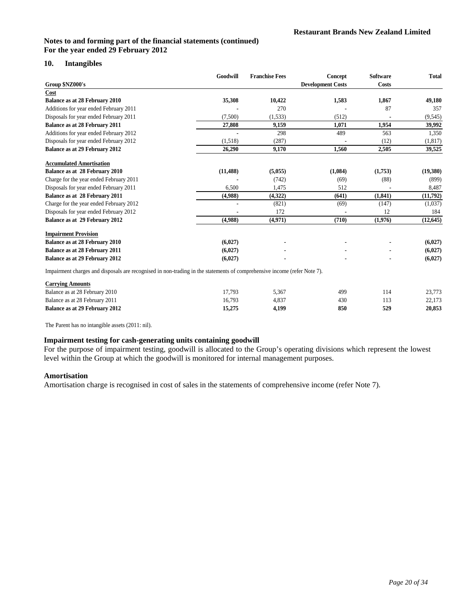## **10. Intangibles**

|                                                                                                                         | Goodwill  | <b>Franchise Fees</b> | Concept                  | <b>Software</b> | <b>Total</b> |
|-------------------------------------------------------------------------------------------------------------------------|-----------|-----------------------|--------------------------|-----------------|--------------|
| Group \$NZ000's                                                                                                         |           |                       | <b>Development Costs</b> | <b>Costs</b>    |              |
| Cost                                                                                                                    |           |                       |                          |                 |              |
| <b>Balance as at 28 February 2010</b>                                                                                   | 35,308    | 10,422                | 1,583                    | 1,867           | 49,180       |
| Additions for year ended February 2011                                                                                  |           | 270                   |                          | 87              | 357          |
| Disposals for year ended February 2011                                                                                  | (7,500)   | (1,533)               | (512)                    |                 | (9, 545)     |
| Balance as at 28 February 2011                                                                                          | 27,808    | 9,159                 | 1,071                    | 1,954           | 39,992       |
| Additions for year ended February 2012                                                                                  |           | 298                   | 489                      | 563             | 1,350        |
| Disposals for year ended February 2012                                                                                  | (1,518)   | (287)                 |                          | (12)            | (1, 817)     |
| Balance as at 29 February 2012                                                                                          | 26,290    | 9,170                 | 1,560                    | 2,505           | 39,525       |
| <b>Accumulated Amortisation</b>                                                                                         |           |                       |                          |                 |              |
| Balance as at 28 February 2010                                                                                          | (11, 488) | (5,055)               | (1,084)                  | (1,753)         | (19,380)     |
| Charge for the year ended February 2011                                                                                 |           | (742)                 | (69)                     | (88)            | (899)        |
| Disposals for year ended February 2011                                                                                  | 6,500     | 1,475                 | 512                      |                 | 8,487        |
| Balance as at 28 February 2011                                                                                          | (4,988)   | (4,322)               | (641)                    | (1, 841)        | (11,792)     |
| Charge for the year ended February 2012                                                                                 |           | (821)                 | (69)                     | (147)           | (1,037)      |
| Disposals for year ended February 2012                                                                                  |           | 172                   |                          | 12              | 184          |
| Balance as at 29 February 2012                                                                                          | (4,988)   | (4,971)               | (710)                    | (1,976)         | (12, 645)    |
| <b>Impairment Provision</b>                                                                                             |           |                       |                          |                 |              |
| <b>Balance as at 28 February 2010</b>                                                                                   | (6,027)   |                       |                          |                 | (6,027)      |
| <b>Balance as at 28 February 2011</b>                                                                                   | (6,027)   |                       |                          |                 | (6,027)      |
| Balance as at 29 February 2012                                                                                          | (6,027)   |                       |                          |                 | (6,027)      |
| Impoirment charges and disposals are recognised in non-trading in the statements of comprehensive income (refer Note 7) |           |                       |                          |                 |              |

Impairment charges and disposals are recognised in non-trading in the statements of comprehensive income (refer Note 7).

| <b>Carrying Amounts</b>        |        |       |     |     |        |
|--------------------------------|--------|-------|-----|-----|--------|
| Balance as at 28 February 2010 | 17.793 | 5.367 | 499 | 14، | 23.773 |
| Balance as at 28 February 2011 | 16.793 | 4.837 | 430 | 113 | 22.173 |
| Balance as at 29 February 2012 | 15.275 | 4.199 | 850 | 529 | 20.853 |

The Parent has no intangible assets (2011: nil).

## **Impairment testing for cash-generating units containing goodwill**

For the purpose of impairment testing, goodwill is allocated to the Group's operating divisions which represent the lowest level within the Group at which the goodwill is monitored for internal management purposes.

#### **Amortisation**

Amortisation charge is recognised in cost of sales in the statements of comprehensive income (refer Note 7).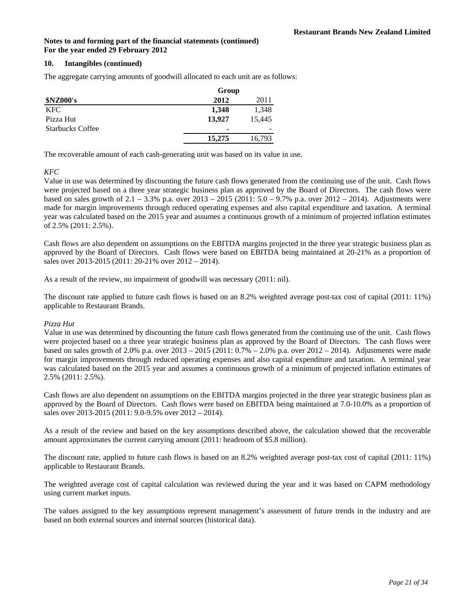## **10. Intangibles (continued)**

The aggregate carrying amounts of goodwill allocated to each unit are as follows:

|                         | Group  |        |
|-------------------------|--------|--------|
| <b>\$NZ000's</b>        | 2012   | 2011   |
| KFC.                    | 1,348  | 1,348  |
| Pizza Hut               | 13.927 | 15.445 |
| <b>Starbucks Coffee</b> |        | -      |
|                         | 15,275 | 16,793 |

The recoverable amount of each cash-generating unit was based on its value in use.

## *KFC*

Value in use was determined by discounting the future cash flows generated from the continuing use of the unit. Cash flows were projected based on a three year strategic business plan as approved by the Board of Directors. The cash flows were based on sales growth of 2.1 – 3.3% p.a. over 2013 – 2015 (2011: 5.0 – 9.7% p.a. over 2012 – 2014). Adjustments were made for margin improvements through reduced operating expenses and also capital expenditure and taxation. A terminal year was calculated based on the 2015 year and assumes a continuous growth of a minimum of projected inflation estimates of 2.5% (2011: 2.5%).

Cash flows are also dependent on assumptions on the EBITDA margins projected in the three year strategic business plan as approved by the Board of Directors. Cash flows were based on EBITDA being maintained at 20-21% as a proportion of sales over 2013-2015 (2011: 20-21% over 2012 – 2014).

As a result of the review, no impairment of goodwill was necessary (2011: nil).

The discount rate applied to future cash flows is based on an 8.2% weighted average post-tax cost of capital (2011: 11%) applicable to Restaurant Brands.

## *Pizza Hut*

Value in use was determined by discounting the future cash flows generated from the continuing use of the unit. Cash flows were projected based on a three year strategic business plan as approved by the Board of Directors. The cash flows were based on sales growth of 2.0% p.a. over  $2013 - 2015 (2011: 0.7% - 2.0%$  p.a. over  $2012 - 2014$ ). Adjustments were made for margin improvements through reduced operating expenses and also capital expenditure and taxation. A terminal year was calculated based on the 2015 year and assumes a continuous growth of a minimum of projected inflation estimates of 2.5% (2011: 2.5%).

Cash flows are also dependent on assumptions on the EBITDA margins projected in the three year strategic business plan as approved by the Board of Directors. Cash flows were based on EBITDA being maintained at 7.0-10.0% as a proportion of sales over 2013-2015 (2011: 9.0-9.5% over 2012 – 2014).

As a result of the review and based on the key assumptions described above, the calculation showed that the recoverable amount approximates the current carrying amount (2011: headroom of \$5.8 million).

The discount rate, applied to future cash flows is based on an 8.2% weighted average post-tax cost of capital (2011: 11%) applicable to Restaurant Brands.

The weighted average cost of capital calculation was reviewed during the year and it was based on CAPM methodology using current market inputs.

The values assigned to the key assumptions represent management's assessment of future trends in the industry and are based on both external sources and internal sources (historical data).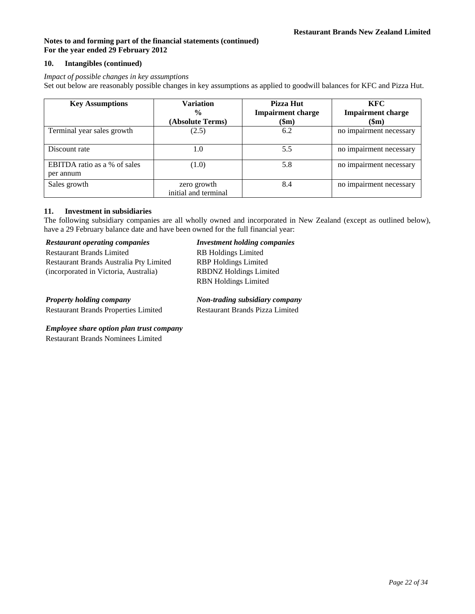## **10. Intangibles (continued)**

## *Impact of possible changes in key assumptions*

Set out below are reasonably possible changes in key assumptions as applied to goodwill balances for KFC and Pizza Hut.

| <b>Key Assumptions</b>                    | Variation<br>$\frac{0}{0}$<br>(Absolute Terms) | Pizza Hut<br><b>Impairment charge</b><br>\$m) | <b>KFC</b><br><b>Impairment charge</b><br>(\$m) |
|-------------------------------------------|------------------------------------------------|-----------------------------------------------|-------------------------------------------------|
| Terminal year sales growth                | (2.5)                                          | 6.2                                           | no impairment necessary                         |
| Discount rate                             | 1.0                                            | 5.5                                           | no impairment necessary                         |
| EBITDA ratio as a % of sales<br>per annum | (1.0)                                          | 5.8                                           | no impairment necessary                         |
| Sales growth                              | zero growth<br>initial and terminal            | 8.4                                           | no impairment necessary                         |

## **11. Investment in subsidiaries**

The following subsidiary companies are all wholly owned and incorporated in New Zealand (except as outlined below), have a 29 February balance date and have been owned for the full financial year:

*Restaurant operating companies Investment holding companies*

| <b>Restaurant operating companies</b> |  |
|---------------------------------------|--|

| <b>Restaurant Brands Limited</b>        | <b>RB</b> Holdings Limited    |
|-----------------------------------------|-------------------------------|
| Restaurant Brands Australia Pty Limited | <b>RBP</b> Holdings Limited   |
| (incorporated in Victoria, Australia)   | <b>RBDNZ</b> Holdings Limited |
|                                         | <b>RBN</b> Holdings Limited   |
|                                         |                               |
| $\sim$                                  | <b>TT</b>                     |

Restaurant Brands Properties Limited Restaurant Brands Pizza Limited

*Property holding company Non-trading subsidiary company*

## *Employee share option plan trust company*

Restaurant Brands Nominees Limited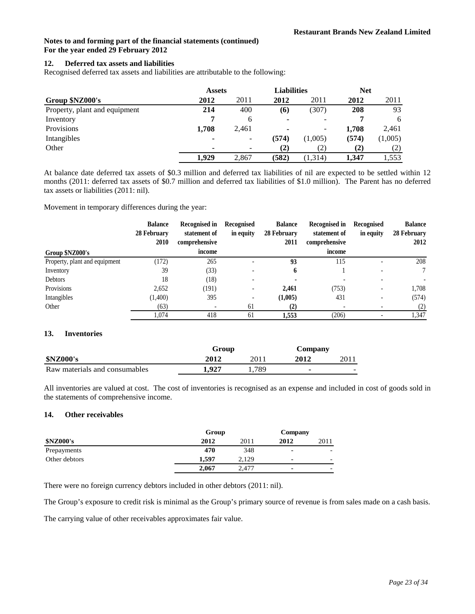## **12. Deferred tax assets and liabilities**

Recognised deferred tax assets and liabilities are attributable to the following:

|                               | <b>Assets</b> |                          | <b>Liabilities</b> |                          | <b>Net</b> |         |
|-------------------------------|---------------|--------------------------|--------------------|--------------------------|------------|---------|
| Group \$NZ000's               | 2012          | 2011                     | 2012               | 2011                     | 2012       | 2011    |
| Property, plant and equipment | 214           | 400                      | (6)                | (307)                    | 208        | 93      |
| Inventory                     |               | <sub>6</sub>             | ۰                  |                          |            | 6       |
| Provisions                    | 1,708         | 2,461                    | ۰                  | $\overline{\phantom{0}}$ | 1,708      | 2,461   |
| Intangibles                   | -             | $\overline{\phantom{a}}$ | (574)              | (1,005)                  | (574)      | (1,005) |
| Other                         |               |                          | $\bf(2)$           | (2)                      | (2)        | (2)     |
|                               | 1.929         | 2,867                    | (582)              | (1, 314)                 | 1.347      | 1,553   |

At balance date deferred tax assets of \$0.3 million and deferred tax liabilities of nil are expected to be settled within 12 months (2011: deferred tax assets of \$0.7 million and deferred tax liabilities of \$1.0 million). The Parent has no deferred tax assets or liabilities (2011: nil).

Movement in temporary differences during the year:

|                               | <b>Balance</b><br>28 February<br>2010 | <b>Recognised in</b><br>statement of<br>comprehensive | Recognised<br>in equity  | <b>Balance</b><br>28 February<br>2011 | Recognised in<br>statement of<br>comprehensive | Recognised<br>in equity | <b>Balance</b><br>28 February<br>2012 |
|-------------------------------|---------------------------------------|-------------------------------------------------------|--------------------------|---------------------------------------|------------------------------------------------|-------------------------|---------------------------------------|
| Group \$NZ000's               |                                       | income                                                |                          |                                       | income                                         |                         |                                       |
| Property, plant and equipment | (172)                                 | 265                                                   |                          | 93                                    | 115                                            |                         | 208                                   |
| Inventory                     | 39                                    | (33)                                                  |                          | h                                     |                                                |                         | 7                                     |
| Debtors                       | 18                                    | (18)                                                  |                          |                                       |                                                |                         |                                       |
| Provisions                    | 2.652                                 | (191)                                                 |                          | 2.461                                 | (753)                                          |                         | 1,708                                 |
| Intangibles                   | (1,400)                               | 395                                                   | $\overline{\phantom{a}}$ | (1,005)                               | 431                                            |                         | (574)                                 |
| Other                         | (63)                                  | $\overline{\phantom{a}}$                              | 61                       | (2)                                   | $\overline{\phantom{0}}$                       |                         | (2)                                   |
|                               | 1.074                                 | 418                                                   | 61                       | 1.553                                 | (206)                                          |                         | 1,347                                 |

## **13. Inventories**

|                               | Group |      | Company        |   |
|-------------------------------|-------|------|----------------|---|
| <b>\$NZ000's</b>              | 2012  | 2011 | 2012           |   |
| Raw materials and consumables | .927  | .789 | $\blacksquare$ | - |

All inventories are valued at cost. The cost of inventories is recognised as an expense and included in cost of goods sold in the statements of comprehensive income.

## **14. Other receivables**

|                  | Group |       |      | Company |
|------------------|-------|-------|------|---------|
| <b>\$NZ000's</b> | 2012  | 2011  | 2012 | 2011    |
| Prepayments      | 470   | 348   | ۰    | -       |
| Other debtors    | 1.597 | 2.129 |      | -       |
|                  | 2.067 | 2.477 |      | -       |

There were no foreign currency debtors included in other debtors (2011: nil).

The Group's exposure to credit risk is minimal as the Group's primary source of revenue is from sales made on a cash basis.

The carrying value of other receivables approximates fair value.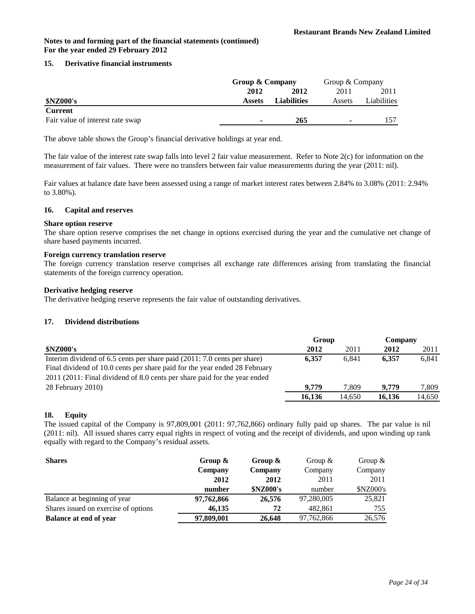## **15. Derivative financial instruments**

|                                  | Group & Company |                    | Group & Company |             |
|----------------------------------|-----------------|--------------------|-----------------|-------------|
|                                  | 2012            | 2012               | 2011            | 2011        |
| <b>\$NZ000's</b>                 | <b>Assets</b>   | <b>Liabilities</b> | Assets          | Liabilities |
| <b>Current</b>                   |                 |                    |                 |             |
| Fair value of interest rate swap | ٠               | 265                | ۰               |             |

The above table shows the Group's financial derivative holdings at year end.

The fair value of the interest rate swap falls into level 2 fair value measurement. Refer to Note 2(c) for information on the measurement of fair values. There were no transfers between fair value measurements during the year (2011: nil).

Fair values at balance date have been assessed using a range of market interest rates between 2.84% to 3.08% (2011: 2.94% to 3.80%).

#### **16. Capital and reserves**

#### **Share option reserve**

The share option reserve comprises the net change in options exercised during the year and the cumulative net change of share based payments incurred.

## **Foreign currency translation reserve**

The foreign currency translation reserve comprises all exchange rate differences arising from translating the financial statements of the foreign currency operation.

#### **Derivative hedging reserve**

The derivative hedging reserve represents the fair value of outstanding derivatives.

#### **17. Dividend distributions**

|                                                                            | Group  |        | Company |        |
|----------------------------------------------------------------------------|--------|--------|---------|--------|
| <b>\$NZ000's</b>                                                           | 2012   | 2011   | 2012    | 2011   |
| Interim dividend of 6.5 cents per share paid (2011: 7.0 cents per share)   | 6.357  | 6.841  | 6.357   | 6.841  |
| Final dividend of 10.0 cents per share paid for the year ended 28 February |        |        |         |        |
| 2011 (2011: Final dividend of 8.0 cents per share paid for the year ended  |        |        |         |        |
| 28 February 2010)                                                          | 9.779  | 7.809  | 9.779   | 7.809  |
|                                                                            | 16.136 | 14.650 | 16.136  | 14.650 |

#### **18. Equity**

The issued capital of the Company is 97,809,001 (2011: 97,762,866) ordinary fully paid up shares. The par value is nil (2011: nil). All issued shares carry equal rights in respect of voting and the receipt of dividends, and upon winding up rank equally with regard to the Company's residual assets.

| <b>Shares</b>                        | Group $\&$ | Group $\&$       | Group $\&$ | Group $\&$       |
|--------------------------------------|------------|------------------|------------|------------------|
|                                      | Company    | Company          | Company    | Company          |
|                                      | 2012       | 2012             | 2011       | 2011             |
|                                      | number     | <b>\$NZ000's</b> | number     | <b>\$NZ000's</b> |
| Balance at beginning of year         | 97,762,866 | 26,576           | 97,280,005 | 25,821           |
| Shares issued on exercise of options | 46.135     | 72               | 482,861    | 755              |
| <b>Balance at end of year</b>        | 97,809,001 | 26,648           | 97,762,866 | 26.576           |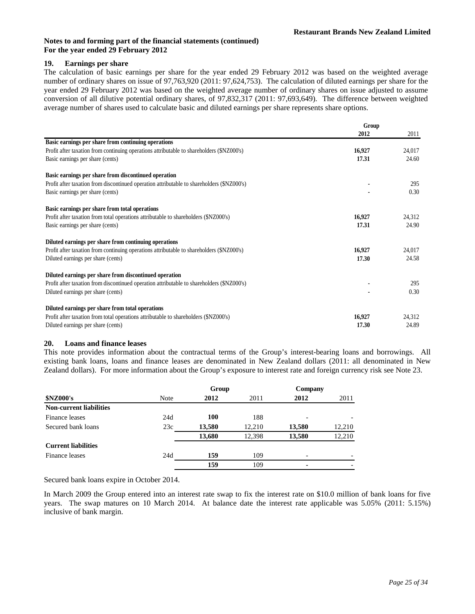## **19. Earnings per share**

The calculation of basic earnings per share for the year ended 29 February 2012 was based on the weighted average number of ordinary shares on issue of 97,763,920 (2011: 97,624,753). The calculation of diluted earnings per share for the year ended 29 February 2012 was based on the weighted average number of ordinary shares on issue adjusted to assume conversion of all dilutive potential ordinary shares, of 97,832,317 (2011: 97,693,649). The difference between weighted average number of shares used to calculate basic and diluted earnings per share represents share options.

|                                                                                            | Group  |        |
|--------------------------------------------------------------------------------------------|--------|--------|
|                                                                                            | 2012   | 2011   |
| Basic earnings per share from continuing operations                                        |        |        |
| Profit after taxation from continuing operations attributable to shareholders (\$NZ000's)  | 16,927 | 24,017 |
| Basic earnings per share (cents)                                                           | 17.31  | 24.60  |
| Basic earnings per share from discontinued operation                                       |        |        |
| Profit after taxation from discontinued operation attributable to shareholders (\$NZ000's) |        | 295    |
| Basic earnings per share (cents)                                                           |        | 0.30   |
| Basic earnings per share from total operations                                             |        |        |
| Profit after taxation from total operations attributable to shareholders (\$NZ000's)       | 16,927 | 24,312 |
| Basic earnings per share (cents)                                                           | 17.31  | 24.90  |
|                                                                                            |        |        |
| Diluted earnings per share from continuing operations                                      |        |        |
| Profit after taxation from continuing operations attributable to shareholders (\$NZ000's)  | 16,927 | 24,017 |
| Diluted earnings per share (cents)                                                         | 17.30  | 24.58  |
| Diluted earnings per share from discontinued operation                                     |        |        |
| Profit after taxation from discontinued operation attributable to shareholders (\$NZ000's) |        | 295    |
| Diluted earnings per share (cents)                                                         |        | 0.30   |
| Diluted earnings per share from total operations                                           |        |        |
| Profit after taxation from total operations attributable to shareholders (\$NZ000's)       | 16,927 | 24,312 |
| Diluted earnings per share (cents)                                                         | 17.30  | 24.89  |
|                                                                                            |        |        |

## **20. Loans and finance leases**

This note provides information about the contractual terms of the Group's interest-bearing loans and borrowings. All existing bank loans, loans and finance leases are denominated in New Zealand dollars (2011: all denominated in New Zealand dollars). For more information about the Group's exposure to interest rate and foreign currency risk see Note 23.

|                                |             | Group      |        | Company        |        |
|--------------------------------|-------------|------------|--------|----------------|--------|
| <b>\$NZ000's</b>               | <b>Note</b> | 2012       | 2011   | 2012           | 2011   |
| <b>Non-current liabilities</b> |             |            |        |                |        |
| Finance leases                 | 24d         | <b>100</b> | 188    |                |        |
| Secured bank loans             | 23c         | 13,580     | 12.210 | 13,580         | 12,210 |
|                                |             | 13,680     | 12,398 | 13,580         | 12,210 |
| <b>Current liabilities</b>     |             |            |        |                |        |
| Finance leases                 | 24d         | 159        | 109    |                |        |
|                                |             | 159        | 109    | $\blacksquare$ |        |
|                                |             |            |        |                |        |

Secured bank loans expire in October 2014.

In March 2009 the Group entered into an interest rate swap to fix the interest rate on \$10.0 million of bank loans for five years. The swap matures on 10 March 2014. At balance date the interest rate applicable was 5.05% (2011: 5.15%) inclusive of bank margin.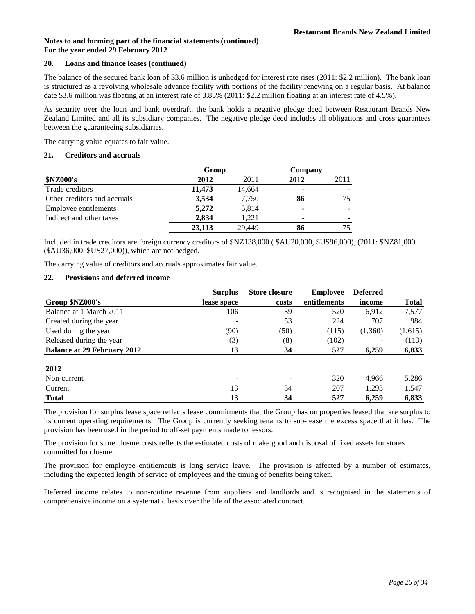#### **20. Loans and finance leases (continued)**

The balance of the secured bank loan of \$3.6 million is unhedged for interest rate rises (2011: \$2.2 million). The bank loan is structured as a revolving wholesale advance facility with portions of the facility renewing on a regular basis. At balance date \$3.6 million was floating at an interest rate of 3.85% (2011: \$2.2 million floating at an interest rate of 4.5%).

As security over the loan and bank overdraft, the bank holds a negative pledge deed between Restaurant Brands New Zealand Limited and all its subsidiary companies. The negative pledge deed includes all obligations and cross guarantees between the guaranteeing subsidiaries.

The carrying value equates to fair value.

## **21. Creditors and accruals**

|                              | Group  |        | Company |      |
|------------------------------|--------|--------|---------|------|
| <b>\$NZ000's</b>             | 2012   | 2011   | 2012    | 2011 |
| Trade creditors              | 11,473 | 14,664 | ٠       |      |
| Other creditors and accruals | 3,534  | 7,750  | 86      | 75   |
| Employee entitlements        | 5,272  | 5,814  | ۰       |      |
| Indirect and other taxes     | 2.834  | 1.221  | ۰       | ۰    |
|                              | 23,113 | 29.449 | 86      |      |

Included in trade creditors are foreign currency creditors of \$NZ138,000 ( \$AU20,000, \$US96,000), (2011: \$NZ81,000 (\$AU36,000, \$US27,000)), which are not hedged.

The carrying value of creditors and accruals approximates fair value.

## **22. Provisions and deferred income**

|                                    | <b>Surplus</b> | <b>Store closure</b> | <b>Employee</b> | <b>Deferred</b> |              |
|------------------------------------|----------------|----------------------|-----------------|-----------------|--------------|
| Group \$NZ000's                    | lease space    | costs                | entitlements    | income          | <b>Total</b> |
| Balance at 1 March 2011            | 106            | 39                   | 520             | 6,912           | 7,577        |
| Created during the year            |                | 53                   | 224             | 707             | 984          |
| Used during the year               | (90)           | (50)                 | (115)           | (1,360)         | (1,615)      |
| Released during the year           | (3)            | (8)                  | (102)           |                 | (113)        |
| <b>Balance at 29 February 2012</b> | 13             | 34                   | 527             | 6,259           | 6,833        |
| 2012                               |                |                      |                 |                 |              |
| Non-current                        |                |                      | 320             | 4.966           | 5,286        |
| Current                            | 13             | 34                   | 207             | 1,293           | 1,547        |
| <b>Total</b>                       | 13             | 34                   | 527             | 6.259           | 6,833        |

The provision for surplus lease space reflects lease commitments that the Group has on properties leased that are surplus to its current operating requirements. The Group is currently seeking tenants to sub-lease the excess space that it has. The provision has been used in the period to off-set payments made to lessors.

The provision for store closure costs reflects the estimated costs of make good and disposal of fixed assets for stores committed for closure.

The provision for employee entitlements is long service leave. The provision is affected by a number of estimates, including the expected length of service of employees and the timing of benefits being taken.

Deferred income relates to non-routine revenue from suppliers and landlords and is recognised in the statements of comprehensive income on a systematic basis over the life of the associated contract.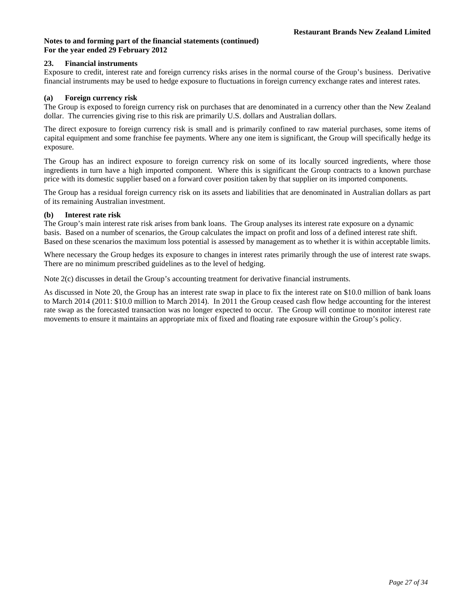## **23. Financial instruments**

Exposure to credit, interest rate and foreign currency risks arises in the normal course of the Group's business. Derivative financial instruments may be used to hedge exposure to fluctuations in foreign currency exchange rates and interest rates.

## **(a) Foreign currency risk**

The Group is exposed to foreign currency risk on purchases that are denominated in a currency other than the New Zealand dollar. The currencies giving rise to this risk are primarily U.S. dollars and Australian dollars.

The direct exposure to foreign currency risk is small and is primarily confined to raw material purchases, some items of capital equipment and some franchise fee payments. Where any one item is significant, the Group will specifically hedge its exposure.

The Group has an indirect exposure to foreign currency risk on some of its locally sourced ingredients, where those ingredients in turn have a high imported component. Where this is significant the Group contracts to a known purchase price with its domestic supplier based on a forward cover position taken by that supplier on its imported components.

The Group has a residual foreign currency risk on its assets and liabilities that are denominated in Australian dollars as part of its remaining Australian investment.

#### **(b) Interest rate risk**

The Group's main interest rate risk arises from bank loans. The Group analyses its interest rate exposure on a dynamic basis. Based on a number of scenarios, the Group calculates the impact on profit and loss of a defined interest rate shift. Based on these scenarios the maximum loss potential is assessed by management as to whether it is within acceptable limits.

Where necessary the Group hedges its exposure to changes in interest rates primarily through the use of interest rate swaps. There are no minimum prescribed guidelines as to the level of hedging.

Note 2(c) discusses in detail the Group's accounting treatment for derivative financial instruments.

As discussed in Note 20, the Group has an interest rate swap in place to fix the interest rate on \$10.0 million of bank loans to March 2014 (2011: \$10.0 million to March 2014). In 2011 the Group ceased cash flow hedge accounting for the interest rate swap as the forecasted transaction was no longer expected to occur. The Group will continue to monitor interest rate movements to ensure it maintains an appropriate mix of fixed and floating rate exposure within the Group's policy.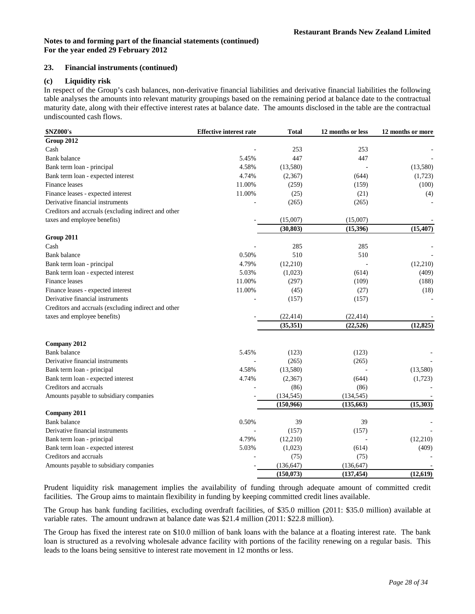## **23. Financial instruments (continued)**

## **(c) Liquidity risk**

In respect of the Group's cash balances, non-derivative financial liabilities and derivative financial liabilities the following table analyses the amounts into relevant maturity groupings based on the remaining period at balance date to the contractual maturity date, along with their effective interest rates at balance date. The amounts disclosed in the table are the contractual undiscounted cash flows.

| \$NZ000's                                                        | <b>Effective interest rate</b> | <b>Total</b>             | 12 months or less        | 12 months or more |
|------------------------------------------------------------------|--------------------------------|--------------------------|--------------------------|-------------------|
| Group 2012                                                       |                                |                          |                          |                   |
| Cash                                                             |                                | 253                      | 253                      |                   |
| <b>Bank balance</b>                                              | 5.45%                          | 447                      | 447                      |                   |
| Bank term loan - principal                                       | 4.58%                          | (13,580)                 |                          | (13,580)          |
| Bank term loan - expected interest                               | 4.74%                          | (2,367)                  | (644)                    | (1,723)           |
| Finance leases                                                   | 11.00%                         | (259)                    | (159)                    | (100)             |
| Finance leases - expected interest                               | 11.00%                         | (25)                     | (21)                     | (4)               |
| Derivative financial instruments                                 |                                | (265)                    | (265)                    |                   |
| Creditors and accruals (excluding indirect and other             |                                |                          |                          |                   |
| taxes and employee benefits)                                     |                                | (15,007)                 | (15,007)                 |                   |
|                                                                  |                                | (30, 803)                | (15,396)                 | (15, 407)         |
| Group 2011                                                       |                                |                          |                          |                   |
| Cash                                                             |                                | 285                      | 285                      |                   |
| <b>Bank</b> balance                                              | 0.50%                          | 510                      | 510                      |                   |
| Bank term loan - principal                                       | 4.79%                          | (12,210)                 |                          | (12,210)          |
| Bank term loan - expected interest                               | 5.03%                          | (1,023)                  | (614)                    | (409)             |
| Finance leases                                                   | 11.00%                         | (297)                    | (109)                    | (188)             |
| Finance leases - expected interest                               | 11.00%                         | (45)                     | (27)                     | (18)              |
| Derivative financial instruments                                 |                                | (157)                    | (157)                    |                   |
| Creditors and accruals (excluding indirect and other             |                                |                          |                          |                   |
| taxes and employee benefits)                                     |                                | (22, 414)                | (22, 414)                |                   |
|                                                                  |                                | (35, 351)                | (22, 526)                | (12, 825)         |
|                                                                  |                                |                          |                          |                   |
| Company 2012                                                     |                                |                          |                          |                   |
| <b>Bank</b> balance                                              | 5.45%                          | (123)                    | (123)                    |                   |
| Derivative financial instruments                                 |                                | (265)                    | (265)                    |                   |
| Bank term loan - principal                                       | 4.58%                          | (13,580)                 |                          | (13,580)          |
| Bank term loan - expected interest                               | 4.74%                          | (2,367)                  | (644)                    | (1,723)           |
| Creditors and accruals                                           |                                | (86)                     | (86)                     |                   |
| Amounts payable to subsidiary companies                          |                                | (134, 545)               | (134, 545)               |                   |
|                                                                  |                                | (150, 966)               | (135, 663)               | (15, 303)         |
| Company 2011                                                     |                                |                          |                          |                   |
| <b>Bank</b> balance                                              | 0.50%                          | 39                       | 39                       |                   |
| Derivative financial instruments                                 | 4.79%                          | (157)                    | (157)                    |                   |
| Bank term loan - principal<br>Bank term loan - expected interest | 5.03%                          | (12,210)                 |                          | (12,210)          |
| Creditors and accruals                                           |                                | (1,023)                  | (614)                    | (409)             |
|                                                                  |                                | (75)                     | (75)                     |                   |
| Amounts payable to subsidiary companies                          |                                | (136, 647)<br>(150, 073) | (136, 647)<br>(137, 454) | (12.619)          |

Prudent liquidity risk management implies the availability of funding through adequate amount of committed credit facilities. The Group aims to maintain flexibility in funding by keeping committed credit lines available.

The Group has bank funding facilities, excluding overdraft facilities, of \$35.0 million (2011: \$35.0 million) available at variable rates. The amount undrawn at balance date was \$21.4 million (2011: \$22.8 million).

The Group has fixed the interest rate on \$10.0 million of bank loans with the balance at a floating interest rate. The bank loan is structured as a revolving wholesale advance facility with portions of the facility renewing on a regular basis. This leads to the loans being sensitive to interest rate movement in 12 months or less.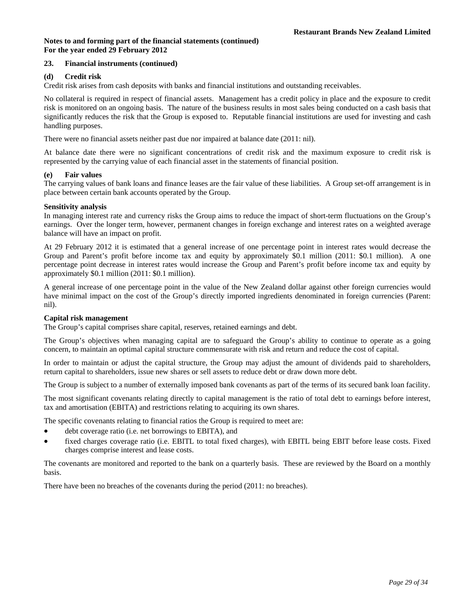## **23. Financial instruments (continued)**

## **(d) Credit risk**

Credit risk arises from cash deposits with banks and financial institutions and outstanding receivables.

No collateral is required in respect of financial assets. Management has a credit policy in place and the exposure to credit risk is monitored on an ongoing basis. The nature of the business results in most sales being conducted on a cash basis that significantly reduces the risk that the Group is exposed to. Reputable financial institutions are used for investing and cash handling purposes.

There were no financial assets neither past due nor impaired at balance date (2011: nil).

At balance date there were no significant concentrations of credit risk and the maximum exposure to credit risk is represented by the carrying value of each financial asset in the statements of financial position.

## **(e) Fair values**

The carrying values of bank loans and finance leases are the fair value of these liabilities. A Group set-off arrangement is in place between certain bank accounts operated by the Group.

## **Sensitivity analysis**

In managing interest rate and currency risks the Group aims to reduce the impact of short-term fluctuations on the Group's earnings. Over the longer term, however, permanent changes in foreign exchange and interest rates on a weighted average balance will have an impact on profit.

At 29 February 2012 it is estimated that a general increase of one percentage point in interest rates would decrease the Group and Parent's profit before income tax and equity by approximately \$0.1 million (2011: \$0.1 million). A one percentage point decrease in interest rates would increase the Group and Parent's profit before income tax and equity by approximately \$0.1 million (2011: \$0.1 million).

A general increase of one percentage point in the value of the New Zealand dollar against other foreign currencies would have minimal impact on the cost of the Group's directly imported ingredients denominated in foreign currencies (Parent: nil).

## **Capital risk management**

The Group's capital comprises share capital, reserves, retained earnings and debt.

The Group's objectives when managing capital are to safeguard the Group's ability to continue to operate as a going concern, to maintain an optimal capital structure commensurate with risk and return and reduce the cost of capital.

In order to maintain or adjust the capital structure, the Group may adjust the amount of dividends paid to shareholders, return capital to shareholders, issue new shares or sell assets to reduce debt or draw down more debt.

The Group is subject to a number of externally imposed bank covenants as part of the terms of its secured bank loan facility.

The most significant covenants relating directly to capital management is the ratio of total debt to earnings before interest, tax and amortisation (EBITA) and restrictions relating to acquiring its own shares.

The specific covenants relating to financial ratios the Group is required to meet are:

- debt coverage ratio (i.e. net borrowings to EBITA), and
- fixed charges coverage ratio (i.e. EBITL to total fixed charges), with EBITL being EBIT before lease costs. Fixed charges comprise interest and lease costs.

The covenants are monitored and reported to the bank on a quarterly basis. These are reviewed by the Board on a monthly basis.

There have been no breaches of the covenants during the period (2011: no breaches).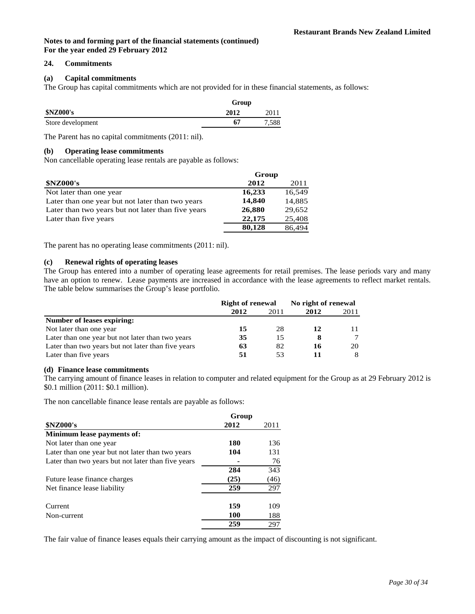## **24. Commitments**

## **(a) Capital commitments**

The Group has capital commitments which are not provided for in these financial statements, as follows:

|                   | Group |       |  |
|-------------------|-------|-------|--|
| <b>\$NZ000's</b>  | 2012  | 2011  |  |
| Store development | 67    | 7.588 |  |

The Parent has no capital commitments (2011: nil).

#### **(b) Operating lease commitments**

Non cancellable operating lease rentals are payable as follows:

|                                                    | Group  |        |
|----------------------------------------------------|--------|--------|
| <b>\$NZ000's</b>                                   | 2012   | 2011   |
| Not later than one year                            | 16,233 | 16,549 |
| Later than one year but not later than two years   | 14,840 | 14.885 |
| Later than two years but not later than five years | 26,880 | 29,652 |
| Later than five years                              | 22,175 | 25,408 |
|                                                    | 80,128 | 86.494 |

The parent has no operating lease commitments (2011: nil).

**(c) Renewal rights of operating leases** The Group has entered into a number of operating lease agreements for retail premises. The lease periods vary and many have an option to renew. Lease payments are increased in accordance with the lease agreements to reflect market rentals. The table below summarises the Group's lease portfolio.

|                                                    | <b>Right of renewal</b> |      | No right of renewal |      |
|----------------------------------------------------|-------------------------|------|---------------------|------|
|                                                    | 2012                    | 2011 | 2012                | 2011 |
| Number of leases expiring:                         |                         |      |                     |      |
| Not later than one year                            | 15                      | 28   | 12                  |      |
| Later than one year but not later than two years   | 35                      | 15   |                     | 7    |
| Later than two years but not later than five years | 63                      | 82   | 16                  | 20   |
| Later than five years                              | 51                      | 53   | 11                  | 8    |

#### **(d) Finance lease commitments**

The carrying amount of finance leases in relation to computer and related equipment for the Group as at 29 February 2012 is \$0.1 million (2011: \$0.1 million).

The non cancellable finance lease rentals are payable as follows:

|                                                    | Group |      |
|----------------------------------------------------|-------|------|
| <b>\$NZ000's</b>                                   | 2012  | 2011 |
| Minimum lease payments of:                         |       |      |
| Not later than one year                            | 180   | 136  |
| Later than one year but not later than two years   | 104   | 131  |
| Later than two years but not later than five years |       | 76   |
|                                                    | 284   | 343  |
| Future lease finance charges                       | (25)  | (46) |
| Net finance lease liability                        | 259   | 297  |
| Current                                            | 159   | 109  |
| Non-current                                        | 100   | 188  |
|                                                    | 259   | 297  |

The fair value of finance leases equals their carrying amount as the impact of discounting is not significant.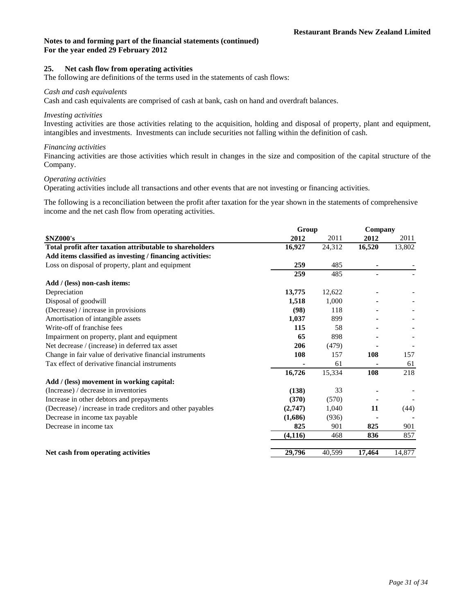## **25. Net cash flow from operating activities**

The following are definitions of the terms used in the statements of cash flows:

#### *Cash and cash equivalents*

Cash and cash equivalents are comprised of cash at bank, cash on hand and overdraft balances.

## *Investing activities*

Investing activities are those activities relating to the acquisition, holding and disposal of property, plant and equipment, intangibles and investments. Investments can include securities not falling within the definition of cash.

#### *Financing activities*

Financing activities are those activities which result in changes in the size and composition of the capital structure of the Company.

## *Operating activities*

Operating activities include all transactions and other events that are not investing or financing activities.

The following is a reconciliation between the profit after taxation for the year shown in the statements of comprehensive income and the net cash flow from operating activities.

|                                                             | Group    | Company |        |        |
|-------------------------------------------------------------|----------|---------|--------|--------|
| <b>\$NZ000's</b>                                            | 2012     | 2011    | 2012   | 2011   |
| Total profit after taxation attributable to shareholders    | 16,927   | 24,312  | 16,520 | 13,802 |
| Add items classified as investing / financing activities:   |          |         |        |        |
| Loss on disposal of property, plant and equipment           | 259      | 485     |        |        |
|                                                             | 259      | 485     |        |        |
| Add / (less) non-cash items:                                |          |         |        |        |
| Depreciation                                                | 13,775   | 12,622  |        |        |
| Disposal of goodwill                                        | 1,518    | 1,000   |        |        |
| (Decrease) / increase in provisions                         | (98)     | 118     |        |        |
| Amortisation of intangible assets                           | 1,037    | 899     |        |        |
| Write-off of franchise fees                                 | 115      | 58      |        |        |
| Impairment on property, plant and equipment                 | 65       | 898     |        |        |
| Net decrease / (increase) in deferred tax asset             | 206      | (479)   |        |        |
| Change in fair value of derivative financial instruments    | 108      | 157     | 108    | 157    |
| Tax effect of derivative financial instruments              |          | 61      |        | 61     |
|                                                             | 16,726   | 15,334  | 108    | 218    |
| Add / (less) movement in working capital:                   |          |         |        |        |
| (Increase) / decrease in inventories                        | (138)    | 33      |        |        |
| Increase in other debtors and prepayments                   | (370)    | (570)   |        |        |
| (Decrease) / increase in trade creditors and other payables | (2,747)  | 1,040   | 11     | (44)   |
| Decrease in income tax payable                              | (1,686)  | (936)   |        |        |
| Decrease in income tax                                      | 825      | 901     | 825    | 901    |
|                                                             | (4, 116) | 468     | 836    | 857    |
| Net cash from operating activities                          | 29,796   | 40,599  | 17,464 | 14,877 |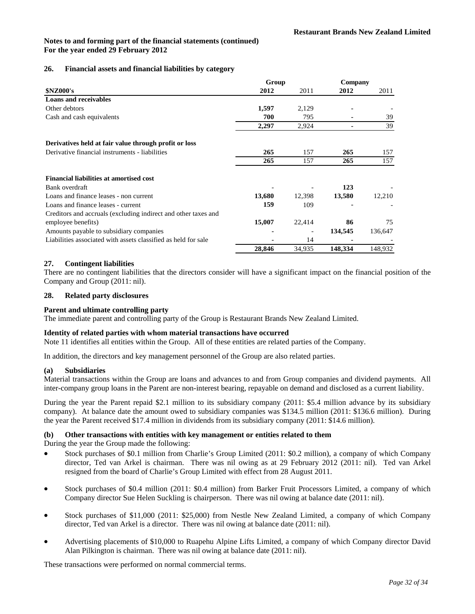## **26. Financial assets and financial liabilities by category**

|                                                                | Group  |        | Company |         |
|----------------------------------------------------------------|--------|--------|---------|---------|
| <b>\$NZ000's</b>                                               | 2012   | 2011   | 2012    | 2011    |
| <b>Loans and receivables</b>                                   |        |        |         |         |
| Other debtors                                                  | 1,597  | 2,129  |         |         |
| Cash and cash equivalents                                      | 700    | 795    |         | 39      |
|                                                                | 2,297  | 2,924  |         | 39      |
| Derivatives held at fair value through profit or loss          |        |        |         |         |
| Derivative financial instruments - liabilities                 | 265    | 157    | 265     | 157     |
|                                                                | 265    | 157    | 265     | 157     |
| <b>Financial liabilities at amortised cost</b>                 |        |        |         |         |
| Bank overdraft                                                 |        |        | 123     |         |
| Loans and finance leases - non current                         | 13,680 | 12,398 | 13,580  | 12,210  |
| Loans and finance leases - current                             | 159    | 109    |         |         |
| Creditors and accruals (excluding indirect and other taxes and |        |        |         |         |
| employee benefits)                                             | 15,007 | 22,414 | 86      | 75      |
| Amounts payable to subsidiary companies                        |        |        | 134,545 | 136,647 |
| Liabilities associated with assets classified as held for sale |        | 14     |         |         |
|                                                                | 28,846 | 34,935 | 148,334 | 148,932 |

## **27. Contingent liabilities**

There are no contingent liabilities that the directors consider will have a significant impact on the financial position of the Company and Group (2011: nil).

#### **28. Related party disclosures**

#### **Parent and ultimate controlling party**

The immediate parent and controlling party of the Group is Restaurant Brands New Zealand Limited.

#### **Identity of related parties with whom material transactions have occurred**

Note 11 identifies all entities within the Group. All of these entities are related parties of the Company.

In addition, the directors and key management personnel of the Group are also related parties.

#### **(a) Subsidiaries**

Material transactions within the Group are loans and advances to and from Group companies and dividend payments. All inter-company group loans in the Parent are non-interest bearing, repayable on demand and disclosed as a current liability.

During the year the Parent repaid \$2.1 million to its subsidiary company (2011: \$5.4 million advance by its subsidiary company). At balance date the amount owed to subsidiary companies was \$134.5 million (2011: \$136.6 million). During the year the Parent received \$17.4 million in dividends from its subsidiary company (2011: \$14.6 million).

## **(b) Other transactions with entities with key management or entities related to them**

During the year the Group made the following:

- Stock purchases of \$0.1 million from Charlie's Group Limited (2011: \$0.2 million), a company of which Company director, Ted van Arkel is chairman. There was nil owing as at 29 February 2012 (2011: nil). Ted van Arkel resigned from the board of Charlie's Group Limited with effect from 28 August 2011.
- Stock purchases of \$0.4 million (2011: \$0.4 million) from Barker Fruit Processors Limited, a company of which Company director Sue Helen Suckling is chairperson. There was nil owing at balance date (2011: nil).
- Stock purchases of \$11,000 (2011: \$25,000) from Nestle New Zealand Limited, a company of which Company director, Ted van Arkel is a director. There was nil owing at balance date (2011: nil).
- Advertising placements of \$10,000 to Ruapehu Alpine Lifts Limited, a company of which Company director David Alan Pilkington is chairman. There was nil owing at balance date (2011: nil).

These transactions were performed on normal commercial terms.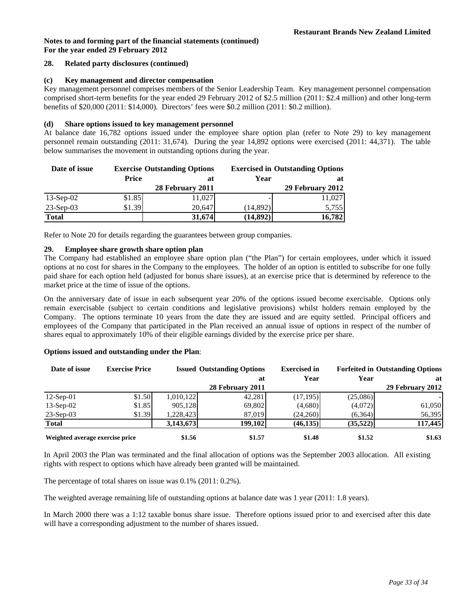#### **28. Related party disclosures (continued)**

#### **(c) Key management and director compensation**

Key management personnel comprises members of the Senior Leadership Team. Key management personnel compensation comprised short-term benefits for the year ended 29 February 2012 of \$2.5 million (2011: \$2.4 million) and other long-term benefits of \$20,000 (2011: \$14,000). Directors' fees were \$0.2 million (2011: \$0.2 million).

## **(d) Share options issued to key management personnel**

At balance date 16,782 options issued under the employee share option plan (refer to Note 29) to key management personnel remain outstanding (2011: 31,674). During the year 14,892 options were exercised (2011: 44,371). The table below summarises the movement in outstanding options during the year.

| Date of issue | <b>Exercise Outstanding Options</b> |                  |           | <b>Exercised in Outstanding Options</b> |
|---------------|-------------------------------------|------------------|-----------|-----------------------------------------|
|               | Price                               | at               | Year      |                                         |
|               |                                     | 28 February 2011 |           | 29 February 2012                        |
| $13-Sep-02$   | \$1.85                              | 11,027           |           | 11,027                                  |
| $23-Sep-03$   | \$1.39                              | 20.647           | (14, 892) | 5,755                                   |
| <b>Total</b>  |                                     | 31,674           | (14, 892) | 16,782                                  |

Refer to Note 20 for details regarding the guarantees between group companies.

## **29. Employee share growth share option plan**

The Company had established an employee share option plan ("the Plan") for certain employees, under which it issued options at no cost for shares in the Company to the employees. The holder of an option is entitled to subscribe for one fully paid share for each option held (adjusted for bonus share issues), at an exercise price that is determined by reference to the market price at the time of issue of the options.

On the anniversary date of issue in each subsequent year 20% of the options issued become exercisable. Options only remain exercisable (subject to certain conditions and legislative provisions) whilst holders remain employed by the Company. The options terminate 10 years from the date they are issued and are equity settled. Principal officers and employees of the Company that participated in the Plan received an annual issue of options in respect of the number of shares equal to approximately 10% of their eligible earnings divided by the exercise price per share.

#### **Options issued and outstanding under the Plan**:

| Date of issue                   | <b>Exercise Price</b> | <b>Issued Outstanding Options</b> |                  |           |          | <b>Exercised in</b> | <b>Forfeited in Outstanding Options</b> |  |  |
|---------------------------------|-----------------------|-----------------------------------|------------------|-----------|----------|---------------------|-----------------------------------------|--|--|
|                                 |                       |                                   | at               | Year      | Year     | at                  |                                         |  |  |
|                                 |                       |                                   | 28 February 2011 |           |          | 29 February 2012    |                                         |  |  |
| $12$ -Sep-01                    | \$1.50                | 1,010,122                         | 42,281           | (17, 195) | (25,086) |                     |                                         |  |  |
| $13-Sep-02$                     | \$1.85                | 905,128                           | 69,802           | (4,680)   | (4,072)  | 61,050              |                                         |  |  |
| $23-Sep-03$                     | \$1.39                | 1,228,423                         | 87.019           | (24,260)  | (6,364)  | 56,395              |                                         |  |  |
| <b>Total</b>                    |                       | 3,143,673                         | 199,102          | (46, 135) | (35,522) | 117,445             |                                         |  |  |
| Weighted average exercise price |                       | \$1.56                            | \$1.57           | \$1.48    | \$1.52   | \$1.63              |                                         |  |  |

In April 2003 the Plan was terminated and the final allocation of options was the September 2003 allocation. All existing rights with respect to options which have already been granted will be maintained.

The percentage of total shares on issue was 0.1% (2011: 0.2%).

The weighted average remaining life of outstanding options at balance date was 1 year (2011: 1.8 years).

In March 2000 there was a 1:12 taxable bonus share issue. Therefore options issued prior to and exercised after this date will have a corresponding adjustment to the number of shares issued.